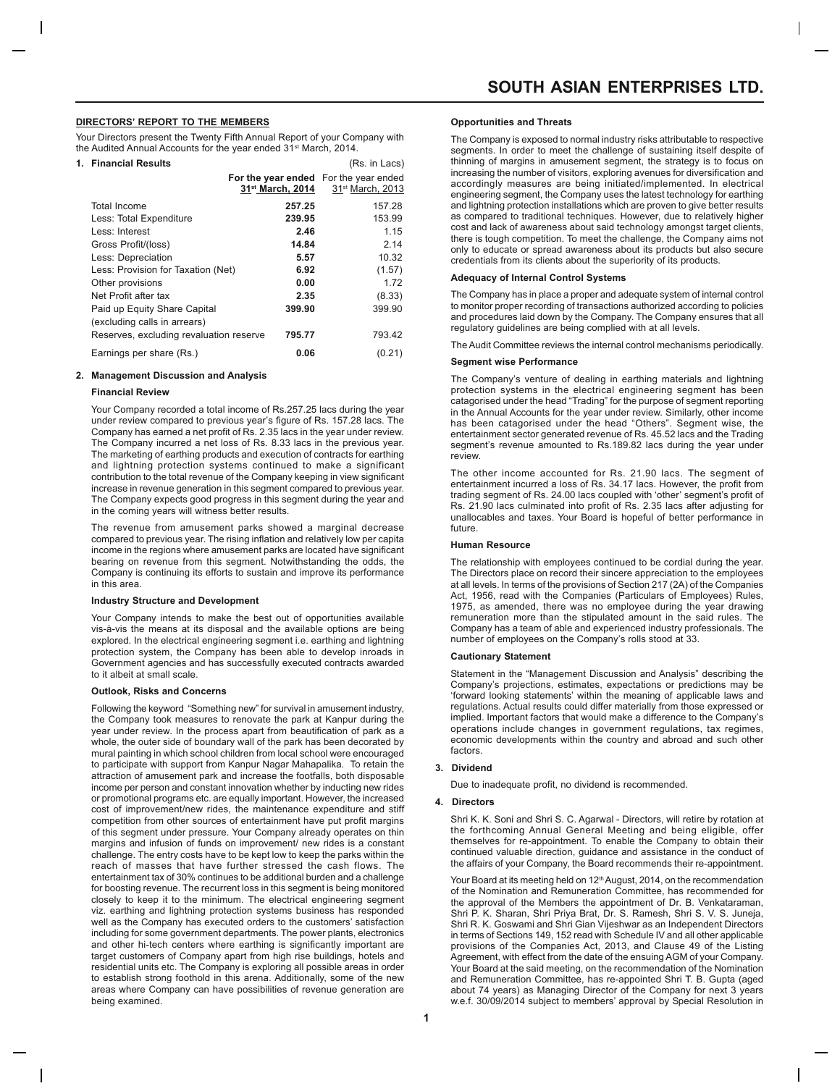# **DIRECTORS' REPORT TO THE MEMBERS**

Your Directors present the Twenty Fifth Annual Report of your Company with the Audited Annual Accounts for the year ended 31<sup>st</sup> March, 2014.

| 1. Financial Results                                         |                                                                       | (Rs. in Lacs)    |
|--------------------------------------------------------------|-----------------------------------------------------------------------|------------------|
|                                                              | For the year ended For the year ended<br>31 <sup>st</sup> March, 2014 | 31st March, 2013 |
| Total Income                                                 | 257.25                                                                | 157.28           |
| Less: Total Expenditure                                      | 239.95                                                                | 153.99           |
| Less: Interest                                               | 2.46                                                                  | 1.15             |
| Gross Profit/(loss)                                          | 14.84                                                                 | 2.14             |
| Less: Depreciation                                           | 5.57                                                                  | 10.32            |
| Less: Provision for Taxation (Net)                           | 6.92                                                                  | (1.57)           |
| Other provisions                                             | 0.00                                                                  | 1.72             |
| Net Profit after tax                                         | 2.35                                                                  | (8.33)           |
| Paid up Equity Share Capital<br>(excluding calls in arrears) | 399.90                                                                | 399.90           |
| Reserves, excluding revaluation reserve                      | 795.77                                                                | 793.42           |
| Earnings per share (Rs.)                                     | 0.06                                                                  | (0.21)           |

#### **2. Management Discussion and Analysis**

#### **Financial Review**

Your Company recorded a total income of Rs.257.25 lacs during the year under review compared to previous year's figure of Rs. 157.28 lacs. The Company has earned a net profit of Rs. 2.35 lacs in the year under review. The Company incurred a net loss of Rs. 8.33 lacs in the previous year. The marketing of earthing products and execution of contracts for earthing and lightning protection systems continued to make a significant contribution to the total revenue of the Company keeping in view significant increase in revenue generation in this segment compared to previous year. The Company expects good progress in this segment during the year and in the coming years will witness better results.

The revenue from amusement parks showed a marginal decrease compared to previous year. The rising inflation and relatively low per capita income in the regions where amusement parks are located have significant bearing on revenue from this segment. Notwithstanding the odds, the Company is continuing its efforts to sustain and improve its performance in this area.

# **Industry Structure and Development**

Your Company intends to make the best out of opportunities available vis-à-vis the means at its disposal and the available options are being explored. In the electrical engineering segment i.e. earthing and lightning protection system, the Company has been able to develop inroads in Government agencies and has successfully executed contracts awarded to it albeit at small scale.

# **Outlook, Risks and Concerns**

Following the keyword "Something new" for survival in amusement industry, the Company took measures to renovate the park at Kanpur during the year under review. In the process apart from beautification of park as a whole, the outer side of boundary wall of the park has been decorated by mural painting in which school children from local school were encouraged to participate with support from Kanpur Nagar Mahapalika. To retain the attraction of amusement park and increase the footfalls, both disposable income per person and constant innovation whether by inducting new rides or promotional programs etc. are equally important. However, the increased cost of improvement/new rides, the maintenance expenditure and stiff competition from other sources of entertainment have put profit margins of this segment under pressure. Your Company already operates on thin margins and infusion of funds on improvement/ new rides is a constant challenge. The entry costs have to be kept low to keep the parks within the reach of masses that have further stressed the cash flows. The entertainment tax of 30% continues to be additional burden and a challenge for boosting revenue. The recurrent loss in this segment is being monitored closely to keep it to the minimum. The electrical engineering segment viz. earthing and lightning protection systems business has responded well as the Company has executed orders to the customers' satisfaction including for some government departments. The power plants, electronics and other hi-tech centers where earthing is significantly important are target customers of Company apart from high rise buildings, hotels and residential units etc. The Company is exploring all possible areas in order to establish strong foothold in this arena. Additionally, some of the new areas where Company can have possibilities of revenue generation are being examined.

#### **Opportunities and Threats**

The Company is exposed to normal industry risks attributable to respective segments. In order to meet the challenge of sustaining itself despite of thinning of margins in amusement segment, the strategy is to focus on increasing the number of visitors, exploring avenues for diversification and accordingly measures are being initiated/implemented. In electrical engineering segment, the Company uses the latest technology for earthing and lightning protection installations which are proven to give better results as compared to traditional techniques. However, due to relatively higher cost and lack of awareness about said technology amongst target clients, there is tough competition. To meet the challenge, the Company aims not only to educate or spread awareness about its products but also secure credentials from its clients about the superiority of its products.

#### **Adequacy of Internal Control Systems**

The Company has in place a proper and adequate system of internal control to monitor proper recording of transactions authorized according to policies and procedures laid down by the Company. The Company ensures that all regulatory guidelines are being complied with at all levels.

The Audit Committee reviews the internal control mechanisms periodically.

#### **Segment wise Performance**

The Company's venture of dealing in earthing materials and lightning protection systems in the electrical engineering segment has been catagorised under the head "Trading" for the purpose of segment reporting in the Annual Accounts for the year under review. Similarly, other income has been catagorised under the head "Others". Segment wise, the entertainment sector generated revenue of Rs. 45.52 lacs and the Trading segment's revenue amounted to Rs.189.82 lacs during the year under review.

The other income accounted for Rs. 21.90 lacs. The segment of entertainment incurred a loss of Rs. 34.17 lacs. However, the profit from trading segment of Rs. 24.00 lacs coupled with 'other' segment's profit of Rs. 21.90 lacs culminated into profit of Rs. 2.35 lacs after adjusting for unallocables and taxes. Your Board is hopeful of better performance in future.

#### **Human Resource**

The relationship with employees continued to be cordial during the year. The Directors place on record their sincere appreciation to the employees at all levels. In terms of the provisions of Section 217 (2A) of the Companies Act, 1956, read with the Companies (Particulars of Employees) Rules, 1975, as amended, there was no employee during the year drawing remuneration more than the stipulated amount in the said rules. The Company has a team of able and experienced industry professionals. The number of employees on the Company's rolls stood at 33.

#### **Cautionary Statement**

Statement in the "Management Discussion and Analysis" describing the Company's projections, estimates, expectations or predictions may be 'forward looking statements' within the meaning of applicable laws and regulations. Actual results could differ materially from those expressed or implied. Important factors that would make a difference to the Company's operations include changes in government regulations, tax regimes, economic developments within the country and abroad and such other factors.

# **3. Dividend**

Due to inadequate profit, no dividend is recommended.

#### **4. Directors**

Shri K. K. Soni and Shri S. C. Agarwal - Directors, will retire by rotation at the forthcoming Annual General Meeting and being eligible, offer themselves for re-appointment. To enable the Company to obtain their continued valuable direction, guidance and assistance in the conduct of the affairs of your Company, the Board recommends their re-appointment.

Your Board at its meeting held on 12<sup>th</sup> August, 2014, on the recommendation of the Nomination and Remuneration Committee, has recommended for the approval of the Members the appointment of Dr. B. Venkataraman, Shri P. K. Sharan, Shri Priya Brat, Dr. S. Ramesh, Shri S. V. S. Juneja, Shri R. K. Goswami and Shri Gian Vijeshwar as an Independent Directors in terms of Sections 149, 152 read with Schedule IV and all other applicable provisions of the Companies Act, 2013, and Clause 49 of the Listing Agreement, with effect from the date of the ensuing AGM of your Company. Your Board at the said meeting, on the recommendation of the Nomination and Remuneration Committee, has re-appointed Shri T. B. Gupta (aged about 74 years) as Managing Director of the Company for next 3 years w.e.f. 30/09/2014 subject to members' approval by Special Resolution in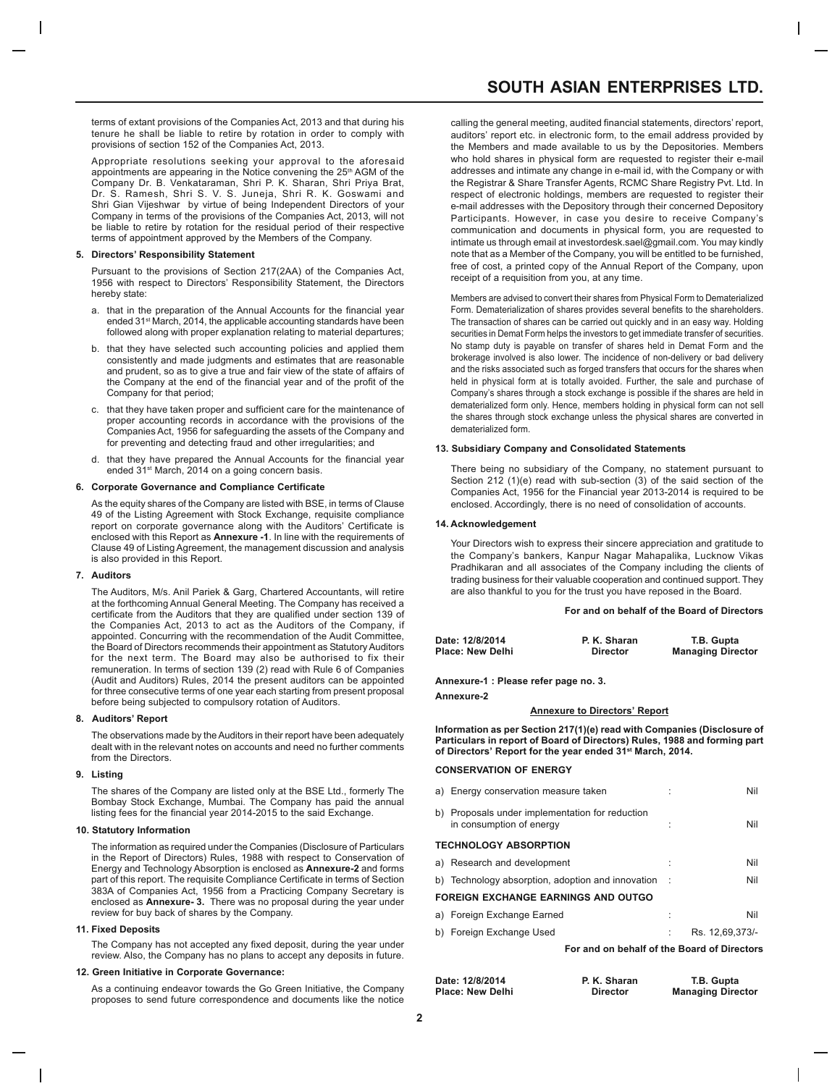Appropriate resolutions seeking your approval to the aforesaid appointments are appearing in the Notice convening the 25<sup>th</sup> AGM of the Company Dr. B. Venkataraman, Shri P. K. Sharan, Shri Priya Brat, Dr. S. Ramesh, Shri S. V. S. Juneja, Shri R. K. Goswami and Shri Gian Vijeshwar by virtue of being Independent Directors of your Company in terms of the provisions of the Companies Act, 2013, will not be liable to retire by rotation for the residual period of their respective terms of appointment approved by the Members of the Company.

# **5. Directors' Responsibility Statement**

Pursuant to the provisions of Section 217(2AA) of the Companies Act, 1956 with respect to Directors' Responsibility Statement, the Directors hereby state:

- a. that in the preparation of the Annual Accounts for the financial year ended 31<sup>st</sup> March, 2014, the applicable accounting standards have been followed along with proper explanation relating to material departures;
- b. that they have selected such accounting policies and applied them consistently and made judgments and estimates that are reasonable and prudent, so as to give a true and fair view of the state of affairs of the Company at the end of the financial year and of the profit of the Company for that period;
- c. that they have taken proper and sufficient care for the maintenance of proper accounting records in accordance with the provisions of the Companies Act, 1956 for safeguarding the assets of the Company and for preventing and detecting fraud and other irregularities; and
- d. that they have prepared the Annual Accounts for the financial year ended 31<sup>st</sup> March, 2014 on a going concern basis.

#### **6. Corporate Governance and Compliance Certificate**

As the equity shares of the Company are listed with BSE, in terms of Clause 49 of the Listing Agreement with Stock Exchange, requisite compliance report on corporate governance along with the Auditors' Certificate is enclosed with this Report as **Annexure -1**. In line with the requirements of Clause 49 of Listing Agreement, the management discussion and analysis is also provided in this Report.

#### **7. Auditors**

The Auditors, M/s. Anil Pariek & Garg, Chartered Accountants, will retire at the forthcoming Annual General Meeting. The Company has received a certificate from the Auditors that they are qualified under section 139 of the Companies Act, 2013 to act as the Auditors of the Company, if appointed. Concurring with the recommendation of the Audit Committee, the Board of Directors recommends their appointment as Statutory Auditors for the next term. The Board may also be authorised to fix their remuneration. In terms of section 139 (2) read with Rule 6 of Companies (Audit and Auditors) Rules, 2014 the present auditors can be appointed for three consecutive terms of one year each starting from present proposal before being subjected to compulsory rotation of Auditors.

# **8. Auditors' Report**

The observations made by the Auditors in their report have been adequately dealt with in the relevant notes on accounts and need no further comments from the Directors.

#### **9. Listing**

The shares of the Company are listed only at the BSE Ltd., formerly The Bombay Stock Exchange, Mumbai. The Company has paid the annual listing fees for the financial year 2014-2015 to the said Exchange.

#### **10. Statutory Information**

The information as required under the Companies (Disclosure of Particulars in the Report of Directors) Rules, 1988 with respect to Conservation of Energy and Technology Absorption is enclosed as **Annexure-2** and forms part of this report. The requisite Compliance Certificate in terms of Section .<br>383A of Companies Act, 1956 from a Practicing Company Secretary is enclosed as **Annexure- 3.** There was no proposal during the year under review for buy back of shares by the Company.

#### **11. Fixed Deposits**

The Company has not accepted any fixed deposit, during the year under review. Also, the Company has no plans to accept any deposits in future.

# **12. Green Initiative in Corporate Governance:**

As a continuing endeavor towards the Go Green Initiative, the Company proposes to send future correspondence and documents like the notice calling the general meeting, audited financial statements, directors' report, auditors' report etc. in electronic form, to the email address provided by the Members and made available to us by the Depositories. Members who hold shares in physical form are requested to register their e-mail addresses and intimate any change in e-mail id, with the Company or with the Registrar & Share Transfer Agents, RCMC Share Registry Pvt. Ltd. In respect of electronic holdings, members are requested to register their e-mail addresses with the Depository through their concerned Depository Participants. However, in case you desire to receive Company's communication and documents in physical form, you are requested to intimate us through email at investordesk.sael@gmail.com. You may kindly note that as a Member of the Company, you will be entitled to be furnished, free of cost, a printed copy of the Annual Report of the Company, upon receipt of a requisition from you, at any time.

Members are advised to convert their shares from Physical Form to Dematerialized Form. Dematerialization of shares provides several benefits to the shareholders. The transaction of shares can be carried out quickly and in an easy way. Holding securities in Demat Form helps the investors to get immediate transfer of securities. No stamp duty is payable on transfer of shares held in Demat Form and the brokerage involved is also lower. The incidence of non-delivery or bad delivery and the risks associated such as forged transfers that occurs for the shares when held in physical form at is totally avoided. Further, the sale and purchase of Company's shares through a stock exchange is possible if the shares are held in dematerialized form only. Hence, members holding in physical form can not sell the shares through stock exchange unless the physical shares are converted in dematerialized form.

#### **13. Subsidiary Company and Consolidated Statements**

There being no subsidiary of the Company, no statement pursuant to Section 212 (1)(e) read with sub-section (3) of the said section of the Companies Act, 1956 for the Financial year 2013-2014 is required to be enclosed. Accordingly, there is no need of consolidation of accounts.

#### **14. Acknowledgement**

Your Directors wish to express their sincere appreciation and gratitude to the Company's bankers, Kanpur Nagar Mahapalika, Lucknow Vikas Pradhikaran and all associates of the Company including the clients of trading business for their valuable cooperation and continued support. They are also thankful to you for the trust you have reposed in the Board.

### **For and on behalf of the Board of Directors**

| Date: 12/8/2014         | P. K. Sharan    | T.B. Gupta               |
|-------------------------|-----------------|--------------------------|
| <b>Place: New Delhi</b> | <b>Director</b> | <b>Managing Director</b> |

**Annexure-1 : Please refer page no. 3.**

**Annexure-2**

#### **Annexure to Directors' Report**

**Information as per Section 217(1)(e) read with Companies (Disclosure of Particulars in report of Board of Directors) Rules, 1988 and forming part of Directors' Report for the year ended 31st March, 2014.**

#### **CONSERVATION OF ENERGY**

| a) Energy conservation measure taken                                        | Nil             |
|-----------------------------------------------------------------------------|-----------------|
| b) Proposals under implementation for reduction<br>in consumption of energy | Nil             |
| <b>TECHNOLOGY ABSORPTION</b>                                                |                 |
| a) Research and development                                                 | Nil             |
| b) Technology absorption, adoption and innovation                           | Nil             |
| <b>FOREIGN EXCHANGE EARNINGS AND OUTGO</b>                                  |                 |
| a) Foreign Exchange Earned                                                  | Nil             |
| b) Foreign Exchange Used                                                    | Rs. 12.69.373/- |

**For and on behalf of the Board of Directors**

| Date: 12/8/2014         | P. K. Sharan    | T.B. Gupta               |
|-------------------------|-----------------|--------------------------|
| <b>Place: New Delhi</b> | <b>Director</b> | <b>Managing Director</b> |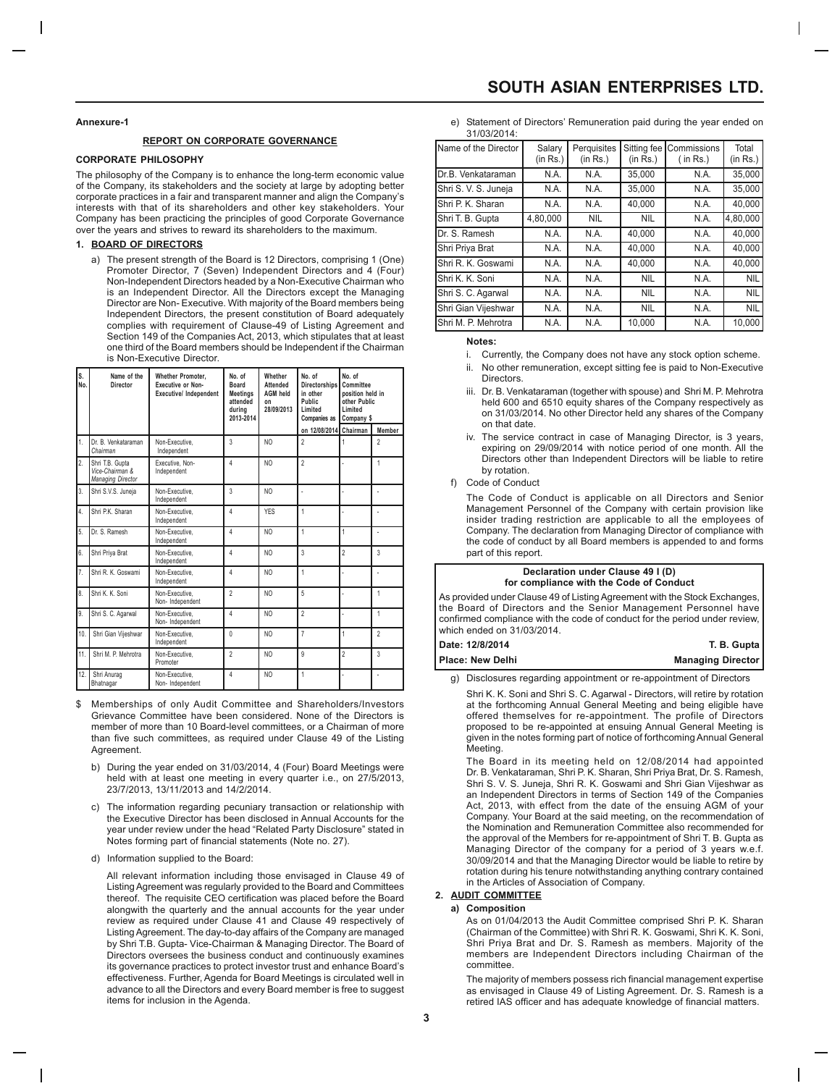#### **Annexure-1**

# **REPORT ON CORPORATE GOVERNANCE**

# **CORPORATE PHILOSOPHY**

The philosophy of the Company is to enhance the long-term economic value of the Company, its stakeholders and the society at large by adopting better corporate practices in a fair and transparent manner and align the Company's interests with that of its shareholders and other key stakeholders. Your Company has been practicing the principles of good Corporate Governance over the years and strives to reward its shareholders to the maximum.

#### **1. BOARD OF DIRECTORS**

a) The present strength of the Board is 12 Directors, comprising 1 (One) Promoter Director, 7 (Seven) Independent Directors and 4 (Four) Non-Independent Directors headed by a Non-Executive Chairman who is an Independent Director. All the Directors except the Managing Director are Non- Executive. With majority of the Board members being Independent Directors, the present constitution of Board adequately complies with requirement of Clause-49 of Listing Agreement and Section 149 of the Companies Act, 2013, which stipulates that at least one third of the Board members should be Independent if the Chairman is Non-Executive Director.

| S.<br>No.        | Name of the<br>Director                                        | Whether Promoter.<br>Executive or Non-<br>Executive/ Independent | No. of<br>Board<br><b>Meetings</b><br>attended<br>durina<br>2013-2014 | Whether<br>Attended<br><b>AGM held</b><br><b>nn</b><br>28/09/2013 | No. of<br>Directorships<br>in other<br><b>Public</b><br>Limited<br>Companies as | No. of<br>Committee<br>position held in<br>other Public<br>Limited<br>Company \$ |                         |
|------------------|----------------------------------------------------------------|------------------------------------------------------------------|-----------------------------------------------------------------------|-------------------------------------------------------------------|---------------------------------------------------------------------------------|----------------------------------------------------------------------------------|-------------------------|
|                  |                                                                |                                                                  |                                                                       |                                                                   | on 12/08/2014                                                                   | Chairman                                                                         | Member                  |
| $\mathbf{1}$     | Dr. B. Venkataraman<br>Chairman                                | Non-Executive.<br>Independent                                    | 3                                                                     | NO.                                                               | $\overline{2}$                                                                  |                                                                                  | $\overline{2}$          |
| $\overline{2}$ . | Shri T.B. Gupta<br>Vice-Chairman &<br><b>Managing Director</b> | Executive, Non-<br>Independent                                   | 4                                                                     | N <sub>O</sub>                                                    | $\overline{2}$                                                                  |                                                                                  | 1                       |
| 3.               | Shri S.V.S. Juneja                                             | Non-Executive,<br>Independent                                    | 3                                                                     | NO.                                                               |                                                                                 |                                                                                  |                         |
| $\overline{4}$ . | Shri P.K. Sharan                                               | Non-Executive.<br>Independent                                    | 4                                                                     | <b>YES</b>                                                        | 1                                                                               |                                                                                  |                         |
| 5.               | Dr. S. Ramesh                                                  | Non-Executive.<br>Independent                                    | 4                                                                     | N <sub>O</sub>                                                    | 1                                                                               | 1                                                                                | i,                      |
| 6.               | Shri Priya Brat                                                | Non-Executive.<br>Independent                                    | 4                                                                     | N <sub>O</sub>                                                    | 3                                                                               | $\overline{c}$                                                                   | $\overline{\mathbf{3}}$ |
| $\overline{7}$   | Shri R. K. Goswami                                             | Non-Executive.<br>Independent                                    | 4                                                                     | N <sub>O</sub>                                                    | 1                                                                               |                                                                                  |                         |
| 8.               | Shri K. K. Soni                                                | Non-Executive.<br>Non-Independent                                | $\overline{c}$                                                        | N <sub>O</sub>                                                    | 5                                                                               |                                                                                  | 1                       |
| 9.               | Shri S. C. Agarwal                                             | Non-Executive.<br>Non-Independent                                | 4                                                                     | N <sub>O</sub>                                                    | $\overline{2}$                                                                  |                                                                                  | 1                       |
| 10.              | Shri Gian Vijeshwar                                            | Non-Executive.<br>Independent                                    | 0                                                                     | NO.                                                               | $\overline{7}$                                                                  | 1                                                                                | $\overline{2}$          |
| 11.              | Shri M. P. Mehrotra                                            | Non-Executive.<br>Promoter                                       | $\overline{c}$                                                        | N <sub>O</sub>                                                    | $\mathsf{Q}$                                                                    | $\overline{c}$                                                                   | $\overline{\mathbf{3}}$ |
| 12.              | Shri Anurag<br>Bhatnagar                                       | Non-Executive.<br>Non-Independent                                | 4                                                                     | N <sub>O</sub>                                                    | 1                                                                               |                                                                                  |                         |

- \$ Memberships of only Audit Committee and Shareholders/Investors Grievance Committee have been considered. None of the Directors is member of more than 10 Board-level committees, or a Chairman of more than five such committees, as required under Clause 49 of the Listing Agreement.
	- b) During the year ended on 31/03/2014, 4 (Four) Board Meetings were held with at least one meeting in every quarter i.e., on 27/5/2013, 23/7/2013, 13/11/2013 and 14/2/2014.
	- c) The information regarding pecuniary transaction or relationship with the Executive Director has been disclosed in Annual Accounts for the year under review under the head "Related Party Disclosure" stated in Notes forming part of financial statements (Note no. 27).
	- d) Information supplied to the Board:

All relevant information including those envisaged in Clause 49 of Listing Agreement was regularly provided to the Board and Committees thereof. The requisite CEO certification was placed before the Board alongwith the quarterly and the annual accounts for the year under review as required under Clause 41 and Clause 49 respectively of Listing Agreement. The day-to-day affairs of the Company are managed by Shri T.B. Gupta- Vice-Chairman & Managing Director. The Board of Directors oversees the business conduct and continuously examines its governance practices to protect investor trust and enhance Board's effectiveness. Further, Agenda for Board Meetings is circulated well in advance to all the Directors and every Board member is free to suggest items for inclusion in the Agenda.

# **SOUTH ASIAN ENTERPRISES LTD.**

e) Statement of Directors' Remuneration paid during the year ended on 31/03/2014:

| Name of the Director | Salary<br>(in Rs.) | Perquisites<br>(in Rs.) | Sitting fee<br>(in Rs.) | <b>Commissions</b><br>(in Rs.) | Total<br>(in Rs.) |
|----------------------|--------------------|-------------------------|-------------------------|--------------------------------|-------------------|
| Dr.B. Venkataraman   | N.A.               | N.A.                    | 35,000                  | N.A.                           | 35,000            |
| Shri S. V. S. Juneja | N.A.               | N.A.                    | 35.000                  | N.A.                           | 35.000            |
| Shri P. K. Sharan    | N.A.               | N.A.                    | 40,000                  | N.A.                           | 40,000            |
| Shri T. B. Gupta     | 4,80,000           | <b>NIL</b>              | <b>NIL</b>              | N.A.                           | 4,80,000          |
| Dr. S. Ramesh        | N.A.               | N.A.                    | 40.000                  | N.A.                           | 40.000            |
| Shri Priya Brat      | N.A.               | N.A.                    | 40.000                  | N.A.                           | 40,000            |
| Shri R. K. Goswami   | N.A.               | N.A.                    | 40.000                  | N.A.                           | 40,000            |
| Shri K. K. Soni      | N.A.               | N.A.                    | <b>NIL</b>              | N.A.                           | <b>NIL</b>        |
| Shri S. C. Agarwal   | N.A.               | N.A.                    | <b>NIL</b>              | N.A.                           | <b>NIL</b>        |
| Shri Gian Vijeshwar  | N.A.               | N.A.                    | <b>NIL</b>              | N.A.                           | <b>NIL</b>        |
| Shri M. P. Mehrotra  | N.A.               | N.A.                    | 10.000                  | N.A.                           | 10,000            |

**Notes:**

- Currently, the Company does not have any stock option scheme.
- ii. No other remuneration, except sitting fee is paid to Non-Executive **Directors**
- iii. Dr. B. Venkataraman (together with spouse) and Shri M. P. Mehrotra held 600 and 6510 equity shares of the Company respectively as on 31/03/2014. No other Director held any shares of the Company on that date.
- iv. The service contract in case of Managing Director, is 3 years, expiring on 29/09/2014 with notice period of one month. All the Directors other than Independent Directors will be liable to retire by rotation.
- f) Code of Conduct

The Code of Conduct is applicable on all Directors and Senior Management Personnel of the Company with certain provision like insider trading restriction are applicable to all the employees of Company. The declaration from Managing Director of compliance with the code of conduct by all Board members is appended to and forms part of this report.

> **Declaration under Clause 49 I (D) for compliance with the Code of Conduct**

As provided under Clause 49 of Listing Agreement with the Stock Exchanges, the Board of Directors and the Senior Management Personnel have confirmed compliance with the code of conduct for the period under review, which ended on 31/03/2014.

| Date: 12/8/2014  | T. B. Gupta              |
|------------------|--------------------------|
| Place: New Delhi | <b>Managing Director</b> |

Disclosures regarding appointment or re-appointment of Directors

Shri K. K. Soni and Shri S. C. Agarwal - Directors, will retire by rotation at the forthcoming Annual General Meeting and being eligible have offered themselves for re-appointment. The profile of Directors proposed to be re-appointed at ensuing Annual General Meeting is given in the notes forming part of notice of forthcoming Annual General Meeting.

The Board in its meeting held on 12/08/2014 had appointed Dr. B. Venkataraman, Shri P. K. Sharan, Shri Priya Brat, Dr. S. Ramesh, Shri S. V. S. Juneja, Shri R. K. Goswami and Shri Gian Vijeshwar as an Independent Directors in terms of Section 149 of the Companies Act, 2013, with effect from the date of the ensuing AGM of your Company. Your Board at the said meeting, on the recommendation of the Nomination and Remuneration Committee also recommended for the approval of the Members for re-appointment of Shri T. B. Gupta as Managing Director of the company for a period of 3 years w.e.f. 30/09/2014 and that the Managing Director would be liable to retire by rotation during his tenure notwithstanding anything contrary contained in the Articles of Association of Company.

# **2. AUDIT COMMITTEE**

#### **a) Composition**

As on 01/04/2013 the Audit Committee comprised Shri P. K. Sharan (Chairman of the Committee) with Shri R. K. Goswami, Shri K. K. Soni, Shri Priya Brat and Dr. S. Ramesh as members. Majority of the members are Independent Directors including Chairman of the committee.

The majority of members possess rich financial management expertise as envisaged in Clause 49 of Listing Agreement. Dr. S. Ramesh is a retired IAS officer and has adequate knowledge of financial matters.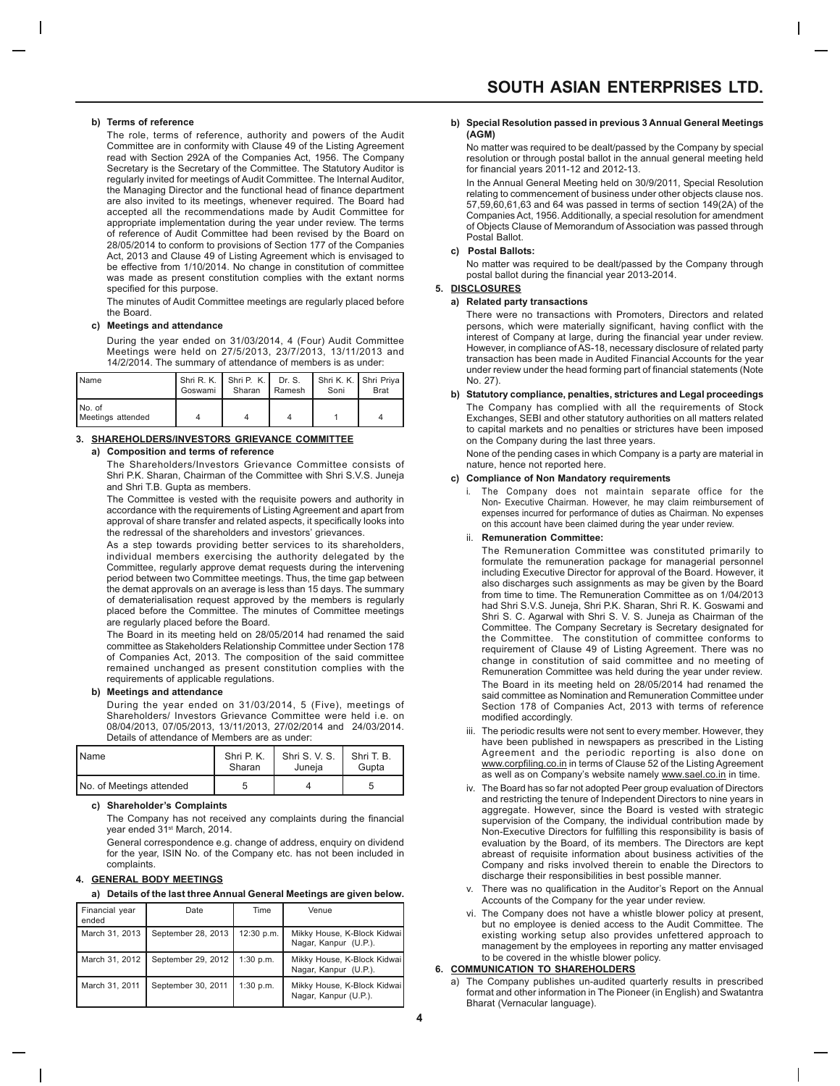The role, terms of reference, authority and powers of the Audit Committee are in conformity with Clause 49 of the Listing Agreement read with Section 292A of the Companies Act, 1956. The Company Secretary is the Secretary of the Committee. The Statutory Auditor is regularly invited for meetings of Audit Committee. The Internal Auditor, the Managing Director and the functional head of finance department are also invited to its meetings, whenever required. The Board had accepted all the recommendations made by Audit Committee for appropriate implementation during the year under review. The terms of reference of Audit Committee had been revised by the Board on 28/05/2014 to conform to provisions of Section 177 of the Companies Act, 2013 and Clause 49 of Listing Agreement which is envisaged to be effective from 1/10/2014. No change in constitution of committee was made as present constitution complies with the extant norms specified for this purpose.

The minutes of Audit Committee meetings are regularly placed before the Board.

### **c) Meetings and attendance**

During the year ended on 31/03/2014, 4 (Four) Audit Committee Meetings were held on 27/5/2013, 23/7/2013, 13/11/2013 and 14/2/2014. The summary of attendance of members is as under:

| <b>Name</b>                 | Shri R. K. Shri P. K. I Dr. S.<br>Goswami | Sharan | <b>I</b> Ramesh | Shri K. K. Shri Priva<br>Soni | <b>Brat</b> |
|-----------------------------|-------------------------------------------|--------|-----------------|-------------------------------|-------------|
| No. of<br>Meetings attended |                                           |        |                 |                               |             |

# **3. SHAREHOLDERS/INVESTORS GRIEVANCE COMMITTEE**

# **a) Composition and terms of reference**

The Shareholders/Investors Grievance Committee consists of Shri P.K. Sharan, Chairman of the Committee with Shri S.V.S. Juneja and Shri T.B. Gupta as members.

The Committee is vested with the requisite powers and authority in accordance with the requirements of Listing Agreement and apart from approval of share transfer and related aspects, it specifically looks into the redressal of the shareholders and investors' grievances.

As a step towards providing better services to its shareholders, individual members exercising the authority delegated by the Committee, regularly approve demat requests during the intervening period between two Committee meetings. Thus, the time gap between the demat approvals on an average is less than 15 days. The summary of dematerialisation request approved by the members is regularly placed before the Committee. The minutes of Committee meetings are regularly placed before the Board.

The Board in its meeting held on 28/05/2014 had renamed the said committee as Stakeholders Relationship Committee under Section 178 of Companies Act, 2013. The composition of the said committee remained unchanged as present constitution complies with the requirements of applicable regulations.

### **b) Meetings and attendance**

During the year ended on 31/03/2014, 5 (Five), meetings of Shareholders/ Investors Grievance Committee were held i.e. on 08/04/2013, 07/05/2013, 13/11/2013, 27/02/2014 and 24/03/2014. Details of attendance of Members are as under:

| Name                     | Shri P. K. | Shri S. V. S. | Shri T. B. |
|--------------------------|------------|---------------|------------|
|                          | Sharan     | Juneia        | Gupta      |
| No. of Meetings attended |            |               |            |

# **c) Shareholder's Complaints**

The Company has not received any complaints during the financial year ended 31<sup>st</sup> March, 2014.

General correspondence e.g. change of address, enquiry on dividend for the year, ISIN No. of the Company etc. has not been included in complaints.

### **4. GENERAL BODY MEETINGS**

**a) Details of the last three Annual General Meetings are given below.**

| Financial year<br>ended | Date               | Time        | Venue                                                |
|-------------------------|--------------------|-------------|------------------------------------------------------|
| March 31, 2013          | September 28, 2013 | 12:30 p.m.  | Mikky House, K-Block Kidwai<br>Nagar, Kanpur (U.P.). |
| March 31, 2012          | September 29, 2012 | $1:30$ p.m. | Mikky House, K-Block Kidwai<br>Nagar, Kanpur (U.P.). |
| March 31, 2011          | September 30, 2011 | $1:30$ p.m. | Mikky House, K-Block Kidwai<br>Nagar, Kanpur (U.P.). |

#### **b) Special Resolution passed in previous 3 Annual General Meetings (AGM)**

No matter was required to be dealt/passed by the Company by special resolution or through postal ballot in the annual general meeting held for financial years 2011-12 and 2012-13.

In the Annual General Meeting held on 30/9/2011, Special Resolution relating to commencement of business under other objects clause nos. 57,59,60,61,63 and 64 was passed in terms of section 149(2A) of the Companies Act, 1956. Additionally, a special resolution for amendment of Objects Clause of Memorandum of Association was passed through Postal Ballot.

# **c) Postal Ballots:**

No matter was required to be dealt/passed by the Company through postal ballot during the financial year 2013-2014.

# **5. DISCLOSURES**

# **a) Related party transactions**

There were no transactions with Promoters, Directors and related persons, which were materially significant, having conflict with the interest of Company at large, during the financial year under review. However, in compliance of AS-18, necessary disclosure of related party transaction has been made in Audited Financial Accounts for the year under review under the head forming part of financial statements (Note No. 27).

**b) Statutory compliance, penalties, strictures and Legal proceedings** The Company has complied with all the requirements of Stock Exchanges, SEBI and other statutory authorities on all matters related to capital markets and no penalties or strictures have been imposed on the Company during the last three years.

None of the pending cases in which Company is a party are material in nature, hence not reported here.

### **c) Compliance of Non Mandatory requirements**

- The Company does not maintain separate office for the Non- Executive Chairman. However, he may claim reimbursement of expenses incurred for performance of duties as Chairman. No expenses on this account have been claimed during the year under review.
- ii. **Remuneration Committee:**

The Remuneration Committee was constituted primarily to formulate the remuneration package for managerial personnel including Executive Director for approval of the Board. However, it also discharges such assignments as may be given by the Board from time to time. The Remuneration Committee as on 1/04/2013 had Shri S.V.S. Juneja, Shri P.K. Sharan, Shri R. K. Goswami and Shri S. C. Agarwal with Shri S. V. S. Juneja as Chairman of the Committee. The Company Secretary is Secretary designated for the Committee. The constitution of committee conforms to requirement of Clause 49 of Listing Agreement. There was no change in constitution of said committee and no meeting of Remuneration Committee was held during the year under review. The Board in its meeting held on 28/05/2014 had renamed the said committee as Nomination and Remuneration Committee under Section 178 of Companies Act, 2013 with terms of reference modified accordingly.

- iii. The periodic results were not sent to every member. However, they have been published in newspapers as prescribed in the Listing Agreement and the periodic reporting is also done on www.corpfiling.co.in in terms of Clause 52 of the Listing Agreement as well as on Company's website namely www.sael.co.in in time.
- iv. The Board has so far not adopted Peer group evaluation of Directors and restricting the tenure of Independent Directors to nine years in aggregate. However, since the Board is vested with strategic supervision of the Company, the individual contribution made by Non-Executive Directors for fulfilling this responsibility is basis of evaluation by the Board, of its members. The Directors are kept abreast of requisite information about business activities of the Company and risks involved therein to enable the Directors to discharge their responsibilities in best possible manner.
- There was no qualification in the Auditor's Report on the Annual Accounts of the Company for the year under review.
- vi. The Company does not have a whistle blower policy at present, but no employee is denied access to the Audit Committee. The existing working setup also provides unfettered approach to management by the employees in reporting any matter envisaged to be covered in the whistle blower policy.

#### **6. COMMUNICATION TO SHAREHOLDERS**

a) The Company publishes un-audited quarterly results in prescribed format and other information in The Pioneer (in English) and Swatantra Bharat (Vernacular language).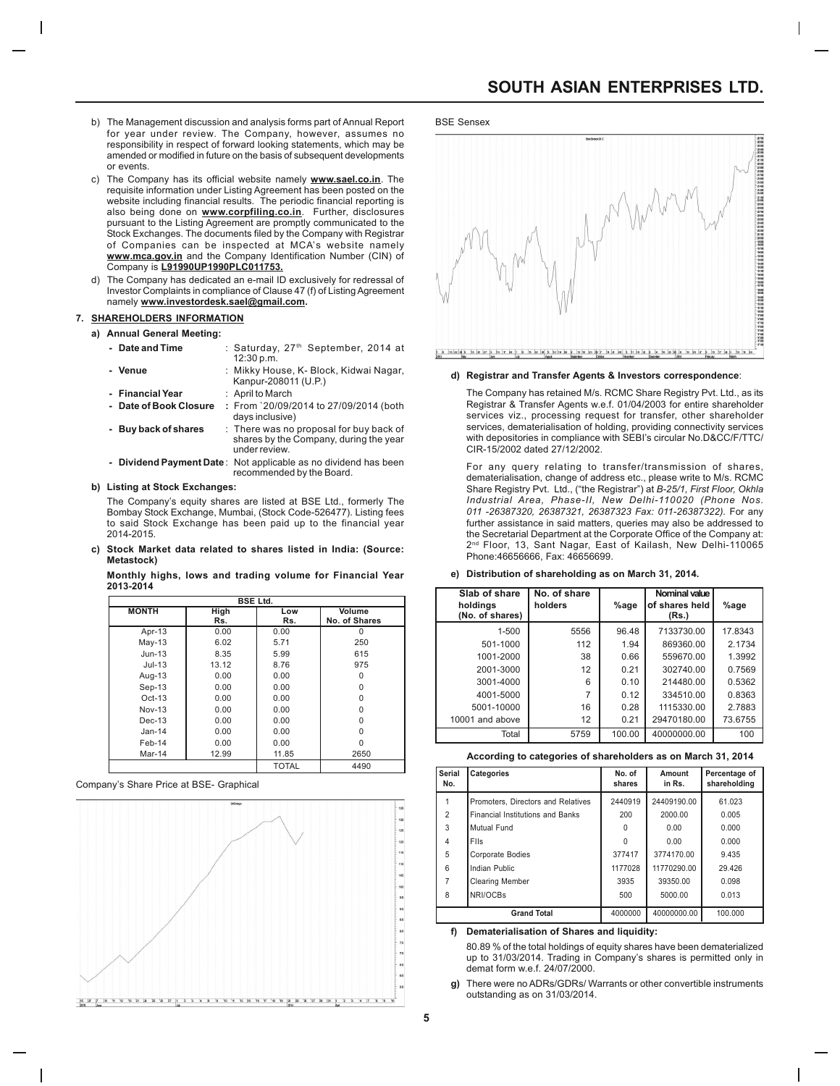- b) The Management discussion and analysis forms part of Annual Report for year under review. The Company, however, assumes no responsibility in respect of forward looking statements, which may be amended or modified in future on the basis of subsequent developments or events.
- c) The Company has its official website namely **www.sael.co.in**. The requisite information under Listing Agreement has been posted on the website including financial results. The periodic financial reporting is also being done on **www.corpfiling.co.in**. Further, disclosures pursuant to the Listing Agreement are promptly communicated to the Stock Exchanges. The documents filed by the Company with Registrar of Companies can be inspected at MCA's website namely **www.mca.gov.in** and the Company Identification Number (CIN) of Company is **L91990UP1990PLC011753.**
- d) The Company has dedicated an e-mail ID exclusively for redressal of Investor Complaints in compliance of Clause 47 (f) of Listing Agreement namely **www.investordesk.sael@gmail.com.**

#### **7. SHAREHOLDERS INFORMATION**

## **a) Annual General Meeting:**

- Date and Time : Saturday, 27<sup>th</sup> September, 2014 at 12:30 p.m.
- 
- **Venue** : Mikky House, K- Block, Kidwai Nagar, Kanpur-208011 (U.P.)
- 
- **Financial Year** : April to March<br> **Date of Book Closure** : From `20/09/2 **- Date of Book Closure :** From `20/09/2014 to 27/09/2014 (both days inclusive)
- **Buy back of shares** : There was no proposal for buy back of shares by the Company, during the year under review.
- **Dividend Payment Date**: Not applicable as no dividend has been recommended by the Board.

#### **b) Listing at Stock Exchanges:**

The Company's equity shares are listed at BSE Ltd., formerly The Bombay Stock Exchange, Mumbai, (Stock Code-526477). Listing fees to said Stock Exchange has been paid up to the financial year 2014-2015.

**c) Stock Market data related to shares listed in India: (Source: Metastock)**

**Monthly highs, lows and trading volume for Financial Year 2013-2014**

| <b>BSE Ltd.</b>                                                      |       |              |      |  |  |  |  |  |
|----------------------------------------------------------------------|-------|--------------|------|--|--|--|--|--|
| <b>MONTH</b><br>High<br>Volume<br>Low<br>No. of Shares<br>Rs.<br>Rs. |       |              |      |  |  |  |  |  |
|                                                                      |       |              |      |  |  |  |  |  |
| Apr-13                                                               | 0.00  | 0.00         | O    |  |  |  |  |  |
| $May-13$                                                             | 6.02  | 5.71         | 250  |  |  |  |  |  |
| $Jun-13$                                                             | 8.35  | 5.99         | 615  |  |  |  |  |  |
| $Jul-13$                                                             | 13.12 | 8.76         | 975  |  |  |  |  |  |
| Aug-13                                                               | 0.00  | 0.00         | O    |  |  |  |  |  |
| Sep-13                                                               | 0.00  | 0.00         | n    |  |  |  |  |  |
| $Oct-13$                                                             | 0.00  | 0.00         | U    |  |  |  |  |  |
| <b>Nov-13</b>                                                        | 0.00  | 0.00         | n    |  |  |  |  |  |
| $Dec-13$                                                             | 0.00  | 0.00         | n    |  |  |  |  |  |
| $Jan-14$                                                             | 0.00  | 0.00         | n    |  |  |  |  |  |
| Feb-14                                                               | 0.00  | 0.00         |      |  |  |  |  |  |
| Mar-14                                                               | 12.99 | 11.85        | 2650 |  |  |  |  |  |
|                                                                      |       | <b>TOTAL</b> | 4490 |  |  |  |  |  |

Company's Share Price at BSE- Graphical



#### BSE Sensex



#### **d) Registrar and Transfer Agents & Investors correspondence**:

The Company has retained M/s. RCMC Share Registry Pvt. Ltd., as its Registrar & Transfer Agents w.e.f. 01/04/2003 for entire shareholder services viz., processing request for transfer, other shareholder services, dematerialisation of holding, providing connectivity services with depositories in compliance with SEBI's circular No.D&CC/F/TTC/ CIR-15/2002 dated 27/12/2002.

For any query relating to transfer/transmission of shares, dematerialisation, change of address etc., please write to M/s. RCMC Share Registry Pvt. Ltd., ("the Registrar") at *B-25/1, First Floor, Okhla Industrial Area, Phase-II, New Delhi-110020 (Phone Nos. 011 -26387320, 26387321, 26387323 Fax: 011-26387322).* For any further assistance in said matters, queries may also be addressed to the Secretarial Department at the Corporate Office of the Company at: 2 nd Floor, 13, Sant Nagar, East of Kailash, New Delhi-110065 Phone:46656666, Fax: 46656699.

# **e) Distribution of shareholding as on March 31, 2014.**

| Slab of share<br>holdings<br>(No. of shares) | No. of share<br>holders | %age   | Nominal value<br>of shares held<br>(Rs.) | %age    |
|----------------------------------------------|-------------------------|--------|------------------------------------------|---------|
| $1 - 500$                                    | 5556                    | 96.48  | 7133730.00                               | 17.8343 |
| 501-1000                                     | 112                     | 1.94   | 869360.00                                | 2.1734  |
| 1001-2000                                    | 38                      | 0.66   | 559670.00                                | 1.3992  |
| 2001-3000                                    | 12                      | 0.21   | 302740.00                                | 0.7569  |
| 3001-4000                                    | 6                       | 0.10   | 214480.00                                | 0.5362  |
| 4001-5000                                    |                         | 0.12   | 334510.00                                | 0.8363  |
| 5001-10000                                   | 16                      | 0.28   | 1115330.00                               | 2.7883  |
| 10001 and above                              | 12                      | 0.21   | 29470180.00                              | 73.6755 |
| Total                                        | 5759                    | 100.00 | 40000000.00                              | 100     |

#### **According to categories of shareholders as on March 31, 2014**

| Serial<br>No.  | Categories                              | No. of<br>shares | Amount<br>in Rs. | Percentage of<br>shareholding |
|----------------|-----------------------------------------|------------------|------------------|-------------------------------|
|                | Promoters. Directors and Relatives      | 2440919          | 24409190.00      | 61.023                        |
| $\overline{2}$ | <b>Financial Institutions and Banks</b> | 200              | 2000.00          | 0.005                         |
| 3              | Mutual Fund                             |                  | 0.00             | 0.000                         |
| 4              | Flls                                    |                  | 0.00             | 0.000                         |
| 5              | Corporate Bodies                        | 377417           | 3774170.00       | 9.435                         |
| 6              | Indian Public                           | 1177028          | 11770290.00      | 29.426                        |
| $\overline{7}$ | Clearing Member                         | 3935             | 39350.00         | 0.098                         |
| 8              | NRI/OCBs                                | 500              | 5000.00          | 0.013                         |
|                | <b>Grand Total</b>                      | 4000000          | 40000000.00      | 100.000                       |

**f) Dematerialisation of Shares and liquidity:**

80.89 % of the total holdings of equity shares have been dematerialized up to 31/03/2014. Trading in Company's shares is permitted only in demat form w.e.f. 24/07/2000.

**g)** There were no ADRs/GDRs/ Warrants or other convertible instruments outstanding as on 31/03/2014.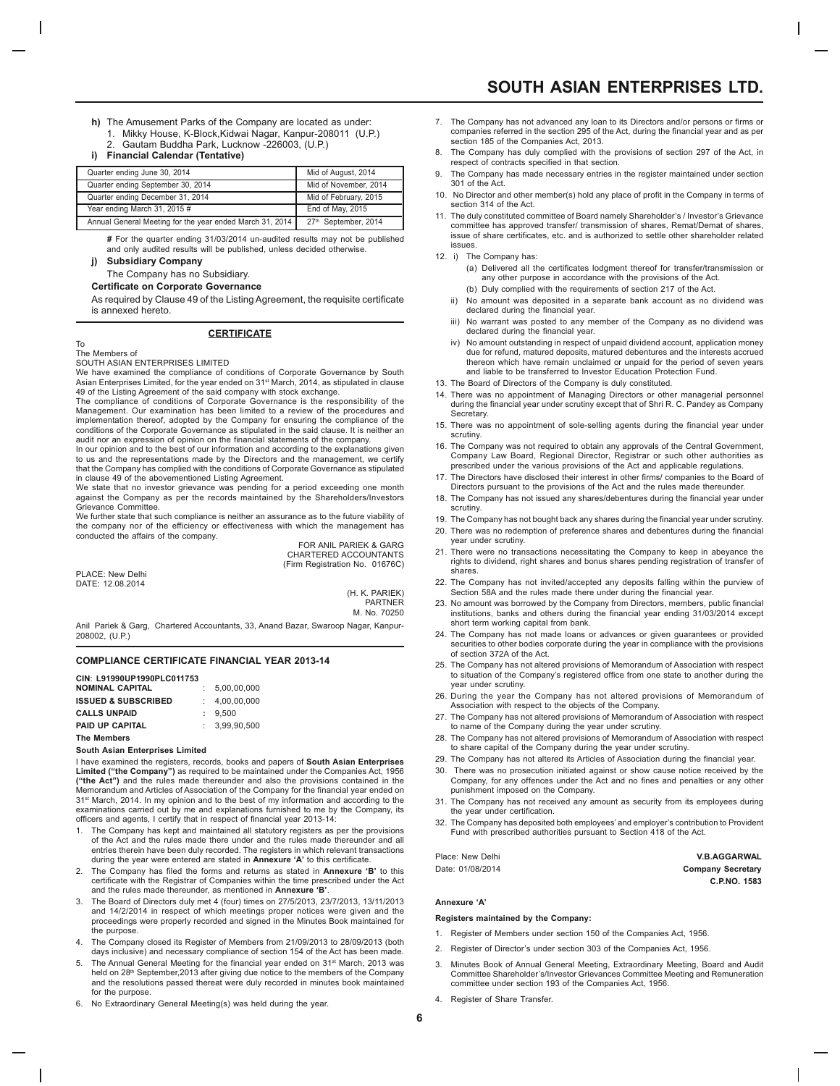**h)** The Amusement Parks of the Company are located as under: 1. Mikky House, K-Block,Kidwai Nagar, Kanpur-208011 (U.P.) 2. Gautam Buddha Park, Lucknow -226003, (U.P.)

#### **i) Financial Calendar (Tentative)**

| Quarter ending June 30, 2014                             | Mid of August, 2014   |
|----------------------------------------------------------|-----------------------|
| Quarter ending September 30, 2014                        | Mid of November, 2014 |
| Quarter ending December 31, 2014                         | Mid of February, 2015 |
| Year ending March 31, 2015 #                             | End of May, 2015      |
| Annual General Meeting for the year ended March 31, 2014 | 27th September, 2014  |

**#** For the quarter ending 31/03/2014 un-audited results may not be published and only audited results will be published, unless decided otherwise

# **j) Subsidiary Company**

The Company has no Subsidiary.

**Certificate on Corporate Governance**

As required by Clause 49 of the Listing Agreement, the requisite certificate is annexed hereto.

#### **CERTIFICATE**

To The Members of SOUTH ASIAN ENTERPRISES LIMITED

We have examined the compliance of conditions of Corporate Governance by South Asian Enterprises Limited, for the year ended on 31st March, 2014, as stipulated in clause 49 of the Listing Agreement of the said company with stock exchange.

The compliance of conditions of Corporate Governance is the responsibility of the Management. Our examination has been limited to a review of the procedures and<br>implementation thereof, adopted by the Company for ensuring the compliance of the<br>conditions of the Corporate Governance as stipulated in the s

audit nor an expression of opinion on the financial statements of the company. In our opinion and to the best of our information and according to the explanations given to us and the representations made by the Directors and the management, we certify that the Company has complied with the conditions of Corporate Governance as stipulated in clause 49 of the abovementioned Listing Agreement.

We state that no investor grievance was pending for a period exceeding one month against the Company as per the records maintained by the Shareholders/Investors Grievance Committee.

We further state that such compliance is neither an assurance as to the future viability of the company nor of the efficiency or effectiveness with which the management has conducted the affairs of the company.

FOR ANIL PARIEK & GARG CHARTERED ACCOUNTANTS (Firm Registration No. 01676C)

PLACE: New Delhi DATE: 12.08.2014

 (H. K. PARIEK) PARTNER M. No. 70250

Anil Pariek & Garg, Chartered Accountants, 33, Anand Bazar, Swaroop Nagar, Kanpur-208002, (U.P.)

### **COMPLIANCE CERTIFICATE FINANCIAL YEAR 2013-14**

| CIN: L91990UP1990PLC011753     |               |
|--------------------------------|---------------|
| <b>NOMINAL CAPITAL</b>         | 5.00.00.000   |
| <b>ISSUED &amp; SUBSCRIBED</b> | 4.00.00.000   |
| <b>CALLS UNPAID</b>            | 9.500         |
| <b>PAID UP CAPITAL</b>         | : 3.99.90.500 |
| <b>The Members</b>             |               |

# **South Asian Enterprises Limited**

I have examined the registers, records, books and papers of **South Asian Enterprises**<br>**Limited ("the Company"**) as required to be maintained under the Companies Act, 1956<br>**("the Act")** and the rules made thereunder and als Memorandum and Articles of Association of the Company for the financial year ended on<br>31st March, 2014. In my opinion and to the best of my information and according to the examinations carried out by me and explanations furnished to me by the Company, its officers and agents, I certify that in respect of financial year 2013-14:

- 1. The Company has kept and maintained all statutory registers as per the provisions of the Act and the rules made there under and the rules made thereunder and all entries therein have been duly recorded. The registers in which relevant transactions during the year were entered are stated in **Annexure 'A'** to this certificate.
- 2. The Company has filed the forms and returns as stated in **Annexure 'B'** to this certificate with the Registrar of Companies within the time prescribed under the Act and the rules made thereunder, as mentioned in **Annexure 'B'**.
- 3. The Board of Directors duly met 4 (four) times on 27/5/2013, 23/7/2013, 13/11/2013 and 14/2/2014 in respect of which meetings proper notices were given and the proceedings were properly recorded and signed in the Minutes Book maintained for the purpose.
- 4. The Company closed its Register of Members from 21/09/2013 to 28/09/2013 (both days inclusive) and necessary compliance of section 154 of the Act has been made.
- 5. The Annual General Meeting for the financial year ended on 31st March, 2013 was held on 28<sup>th</sup> September,2013 after giving due notice to the members of the Company and the resolutions passed thereat were duly recorded in minutes book maintained for the purpose.
- 6. No Extraordinary General Meeting(s) was held during the year.
- **SOUTH ASIAN ENTERPRISES LTD.**
- 7. The Company has not advanced any loan to its Directors and/or persons or firms or companies referred in the section 295 of the Act, during the financial year and as per section 185 of the Companies Act, 2013.
- The Company has duly complied with the provisions of section 297 of the Act, in respect of contracts specified in that section.
- 9. The Company has made necessary entries in the register maintained under section 301 of the Act.
- 10. No Director and other member(s) hold any place of profit in the Company in terms of section 314 of the Act.
- 11. The duly constituted committee of Board namely Shareholder's / Investor's Grievance committee has approved transfer/ transmission of shares, Remat/Demat of shares, issue of share certificates, etc. and is authorized to settle other shareholder related issues.
- 12. i) The Company has:
	- (a) Delivered all the certificates lodgment thereof for transfer/transmission or any other purpose in accordance with the provisions of the Act. (b) Duly complied with the requirements of section 217 of the Act.
	- No amount was deposited in a separate bank account as no dividend was declared during the financial year.
	- iii) No warrant was posted to any member of the Company as no dividend was declared during the financial year.
	- iv) No amount outstanding in respect of unpaid dividend account, application money due for refund, matured deposits, matured debentures and the interests accrued thereon which have remain unclaimed or unpaid for the period of seven years and liable to be transferred to Investor Education Protection Fund.
- 13. The Board of Directors of the Company is duly constituted.
- 14. There was no appointment of Managing Directors or other managerial personnel during the financial year under scrutiny except that of Shri R. C. Pandey as Company Secretary.
- 15. There was no appointment of sole-selling agents during the financial year under scrutiny.
- 16. The Company was not required to obtain any approvals of the Central Government, Company Law Board, Regional Director, Registrar or such other authorities as prescribed under the various provisions of the Act and applicable regulations.
- 17. The Directors have disclosed their interest in other firms/ companies to the Board of Directors pursuant to the provisions of the Act and the rules made thereunder.
- 18. The Company has not issued any shares/debentures during the financial year under scrutiny.
- 19. The Company has not bought back any shares during the financial year under scrutiny.
- 20. There was no redemption of preference shares and debentures during the financial year under scrutiny.
- 21. There were no transactions necessitating the Company to keep in abeyance the rights to dividend, right shares and bonus shares pending registration of transfer of shares.
- 22. The Company has not invited/accepted any deposits falling within the purview of Section 58A and the rules made there under during the financial year.
- 23. No amount was borrowed by the Company from Directors, members, public financial institutions, banks and others during the financial year ending 31/03/2014 except short term working capital from bank.
- 24. The Company has not made loans or advances or given guarantees or provided securities to other bodies corporate during the year in compliance with the provisions of section 372A of the Act.
- 25. The Company has not altered provisions of Memorandum of Association with respect to situation of the Company's registered office from one state to another during the year under scrutiny.
- 26. During the year the Company has not altered provisions of Memorandum of Association with respect to the objects of the Company.
- 27. The Company has not altered provisions of Memorandum of Association with respect to name of the Company during the year under scrutiny.
- 28. The Company has not altered provisions of Memorandum of Association with respect to share capital of the Company during the year under scrutiny.
- 29. The Company has not altered its Articles of Association during the financial year.
- There was no prosecution initiated against or show cause notice received by the Company, for any offences under the Act and no fines and penalties or any other punishment imposed on the Company.
- 31. The Company has not received any amount as security from its employees during the year under certification.
- 32. The Company has deposited both employees' and employer's contribution to Provident Fund with prescribed authorities pursuant to Section 418 of the Act.

Place: New Delhi **V.B.AGGARWAL** Date: 01/08/2014 **Company Secretary** 

**C.P.NO. 1583**

#### **Annexure 'A'**

**Registers maintained by the Company:**

- 1. Register of Members under section 150 of the Companies Act, 1956.
- 2. Register of Director's under section 303 of the Companies Act, 1956.
- 3. Minutes Book of Annual General Meeting, Extraordinary Meeting, Board and Audit Committee Shareholder's/Investor Grievances Committee Meeting and Remuneration committee under section 193 of the Companies Act, 1956.
- Register of Share Transfer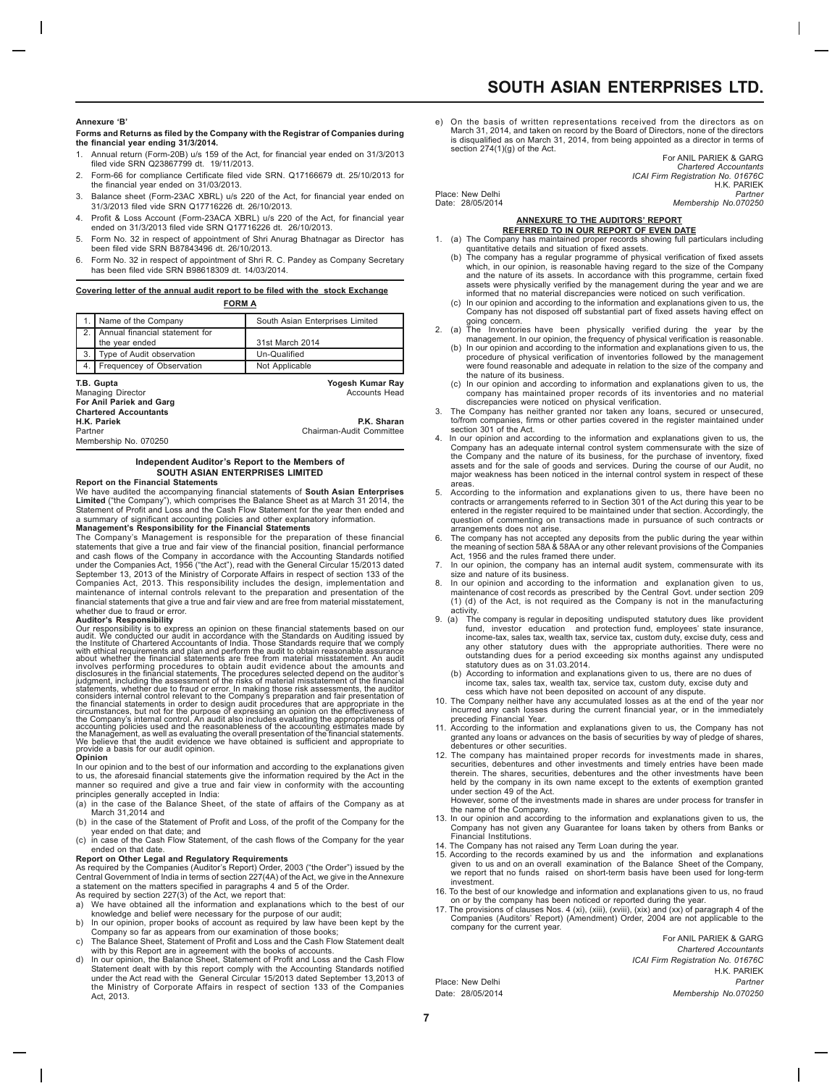#### **Annexure 'B'**

**Forms and Returns as filed by the Company with the Registrar of Companies during the financial year ending 31/3/2014.**

- 1. Annual return (Form-20B) u/s 159 of the Act, for financial year ended on 31/3/2013 filed vide SRN Q23867799 dt. 19/11/2013.
- 2. Form-66 for compliance Certificate filed vide SRN. Q17166679 dt. 25/10/2013 for the financial year ended on 31/03/2013.
- 3. Balance sheet (Form-23AC XBRL) u/s 220 of the Act, for financial year ended on 31/3/2013 filed vide SRN Q17716226 dt. 26/10/2013.
- 4. Profit & Loss Account (Form-23ACA XBRL) u/s 220 of the Act, for financial year ended on 31/3/2013 filed vide SRN Q17716226 dt. 26/10/2013.
- 5. Form No. 32 in respect of appointment of Shri Anurag Bhatnagar as Director has been filed vide SRN B87843496 dt. 26/10/2013.
- 6. Form No. 32 in respect of appointment of Shri R. C. Pandey as Company Secretary has been filed vide SRN B98618309 dt. 14/03/2014.

|  |  |  |  |  | Covering letter of the annual audit report to be filed with the stock Exchange |
|--|--|--|--|--|--------------------------------------------------------------------------------|
|  |  |  |  |  |                                                                                |

|         | <b>FORM A</b>                                                                               |                                         |
|---------|---------------------------------------------------------------------------------------------|-----------------------------------------|
| 1.      | Name of the Company                                                                         | South Asian Enterprises Limited         |
| 2.      | Annual financial statement for<br>the year ended                                            | 31st March 2014                         |
| 3.      | Type of Audit observation                                                                   | Un-Qualified                            |
| 4.      | Frequencey of Observation                                                                   | Not Applicable                          |
|         | T.B. Gupta<br>Managing Director<br>For Anil Pariek and Garg<br><b>Chartered Accountants</b> | Yogesh Kumar Ray<br>Accounts Head       |
| Partner | H.K. Pariek<br>Membership No. 070250                                                        | P.K. Sharan<br>Chairman-Audit Committee |
|         |                                                                                             |                                         |

#### **Independent Auditor's Report to the Members of SOUTH ASIAN ENTERPRISES LIMITED Report on the Financial Statements**

have audited the accompanying financial statements of South Asian Enterprises **Limited** ("the Company"), which comprises the Balance Sheet as at March 31 2014, the Statement of Profit and Loss and the Cash Flow Statement for the year then ended and a summary of significant accounting policies and other explanatory information. **Management's Responsibility for the Financial Statements**

The Company's Management is responsible for the preparation of these financial statements that give a true and fair view of the financial position, financial performance and cash flows of the Company in accordance with the Accounting Standards notified under the Companies Act, 1956 ("the Act"), read with the General Circular 15/2013 dated September 13, 2013 of the Ministry of Corporate Affairs in respect of section 133 of the Companies Act, 2013. This responsibility includes the design, implementation and maintenance of internal controls relevant to the preparation and presentation of the financial statements that give a true and fair view and are free from material misstatement,

whether due to fraud or error.<br>Andro-The to the conduct or cross an opinion on these financial statements based on our responsibility is to express an opinion on these financial statements had the lost<br>the limit we conduct

In our opinion and to the best of our information and according to the explanations given to us, the aforesaid financial statements give the information required by the Act in the manner so required and give a true and fair view in conformity with the accounting

principles generally accepted in India: (a) in the case of the Balance Sheet, of the state of affairs of the Company as at March 31,2014 and

- (b) in the case of the Statement of Profit and Loss, of the profit of the Company for the year ended on that date; and (c) in case of the Cash Flow Statement, of the cash flows of the Company for the year
- ended on that date.

#### **Report on Other Legal and Regulatory Requirements**

As required by the Companies (Auditor's Report) Order, 2003 ("the Order") issued by the Central Government of India in terms of section 227(4A) of the Act, we give in the Annexure a statement on the matters specified in paragraphs 4 and 5 of the Order.<br>As required by section 227(3) of the Act, we report that:<br>a) We have obtained all the information and explanations which to the best of our

- knowledge and belief were necessary for the purpose of our audit; b) In our opinion, proper books of account as required by law have been kept by the
- Company so far as appears from our examination of those books;
- c) The Balance Sheet, Statement of Profit and Loss and the Cash Flow Statement dealt
- with by this Report are in agreement with the books of accounts. d) In our opinion, the Balance Sheet, Statement of Profit and Loss and the Cash Flow Statement dealt with by this report comply with the Accounting Standards notified under the Act read with the General Circular 15/2013 dated September 13,2013 of the Ministry of Corporate Affairs in respect of section 133 of the Companies Act, 2013.

e) On the basis of written representations received from the directors as on March 31, 2014, and taken on record by the Board of Directors, none of the directors is disqualified as on March 31, 2014, from being appointed as a director in terms of section 274(1)(g) of the Act.

For ANIL PARIEK & GARG *Chartered Accountants ICAI Firm Registration No. 01676C* H.K. PARIEK Date: 28/05/2014 *Membership No.070250*

#### **ANNEXURE TO THE AUDITORS' REPORT REFERRED TO IN OUR REPORT OF EVEN DATE**

Place: New Delhi<br>Date: 28/05/2014

- 1. (a) The Company has maintained proper records showing full particulars including quantitative details and situation of fixed assets. (b) The company has a regular programme of physical verification of fixed assets which, in our opinion, is reasonable having regard to the size of the Company and the nature of its assets. In accordance with this programme, certain fixed assets were physically verified by the management during the year and we are informed that no material discrepancies were noticed on such verification.
	- (c) In our opinion and according to the information and explanations given to us, the Company has not disposed off substantial part of fixed assets having effect on going concern.
- going concern.<br>2. (a) The Inventories have been physically verified during the year by the management. In our opinion, the frequency of physical verification is reasonable.<br>(b) In our opinion and according to the information and explanations given to us, the<br>procedure of physical verification of inventories foll
	- the nature of its business.
	- (c) In our opinion and according to information and explanations given to us, the company has maintained proper records of its inventories and no material discrepancies were noticed on physical verification.
- 3. The Company has neither granted nor taken any loans, secured or unsecured, to/from companies, firms or other parties covered in the register maintained under
- section 301 of the Act.<br>4. In our opinion and explanations given to us, the<br>5. Company has an adequate internal control system commensurate with the size of<br>5. Company has an adequate internal control system commensurate w assets and for the sale of goods and services. During the course of our Audit, no major weakness has been noticed in the internal control system in respect of these areas.
- 5. According to the information and explanations given to us, there have been no contracts or arrangements referred to in Section 301 of the Act during this year to be entered in the register required to be maintained under that section. Accordingly, the question of commenting on transactions made in pursuance of such contracts or arrangements does not arise.
- 6. The company has not accepted any deposits from the public during the year within the meaning of section 58A & 58AA or any other relevant provisions of the Companies
- Act, 1956 and the rules framed there under. 7. In our opinion, the company has an internal audit system, commensurate with its size and nature of its business. 8. In our opinion and according to the information and explanation given to us,
- maintenance of cost records as prescribed by the Central Govt. under section 209 (1) (d) of the Act, is not required as the Company is not in the manufacturing
- activity. 9. (a) The company is regular in depositing undisputed statutory dues like provident fund, investor education and protection fund, employees' state insurance, fund, investor education and protection fund, employees' state insurance, income-tax, sales tax, wealth tax, service tax, custom duty, excise duty, cess and any other statutory dues with the appropriate authorities. There were no<br>outstanding dues for a period exceeding six months against any undisputed<br>statutory dues as on 31.03.2014.<br>(b) According to information and explanati
	- income tax, sales tax, wealth tax, service tax, custom duty, excise duty and cess which have not been deposited on account of any dispute.
- 10. The Company neither have any accumulated losses as at the end of the year nor incurred any cash losses during the current financial year, or in the immediately
- preceding Financial Year. 11. According to the information and explanations given to us, the Company has not granted any loans or advances on the basis of securities by way of pledge of shares, debentures or other securities.
- 12. The company has maintained proper records for investments made in shares, securities, debentures and other investments and timely entries have been made therein. The shares, securities, debentures and the other investments have been held by the company in its own name except to the extents of exemption granted under section 49 of the Act. However, some of the investments made in shares are under process for transfer in

the name of the Company. 13. In our opinion and according to the information and explanations given to us, the

- Company has not given any Guarantee for loans taken by others from Banks or Financial Institutions.
- 14. The Company has not raised any Term Loan during the year. 15. According to the records examined by us and the information and explanations
- given to us and on an overall examination of the Balance Sheet of the Company, we report that no funds raised on short-term basis have been used for long-term nvestment.
- 16. To the best of our knowledge and information and explanations given to us, no fraud on or by the company has been noticed or reported during the year. 17. The provisions of clauses Nos. 4 (xi), (xiii), (xviii), (xix) and (xx) of paragraph 4 of the
- Companies (Auditors' Report) (Amendment) Order, 2004 are not applicable to the company for the current year.

 For ANIL PARIEK & GARG *Chartered Accountants ICAI Firm Registration No. 01676C* H.K. PARIEK Place: New Delhi *Partner* Date: 28/05/2014 *Membership No.070250*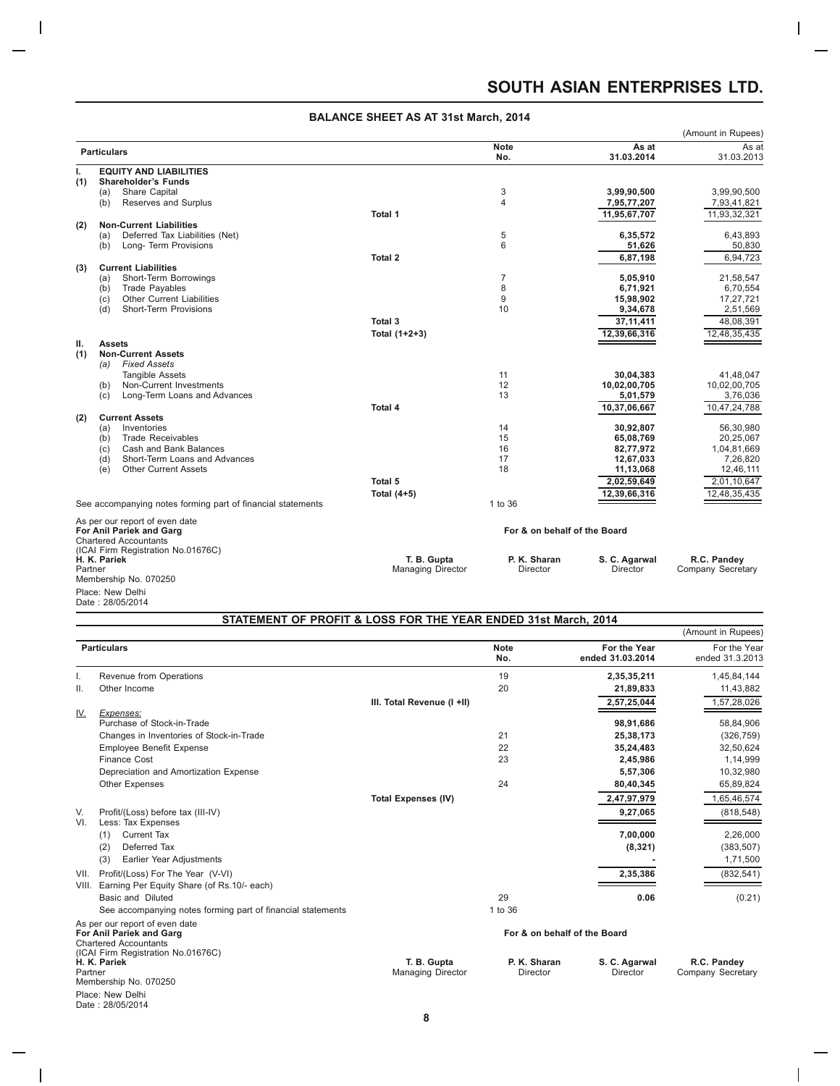$\overline{\phantom{a}}$ 

 $\overline{1}$ 

|         |                                                             |                          |                              |                     | (Amount in Rupees)  |
|---------|-------------------------------------------------------------|--------------------------|------------------------------|---------------------|---------------------|
|         | <b>Particulars</b>                                          |                          | <b>Note</b><br>No.           | As at<br>31.03.2014 | As at<br>31.03.2013 |
| Ι.      | <b>EQUITY AND LIABILITIES</b>                               |                          |                              |                     |                     |
| (1)     | <b>Shareholder's Funds</b>                                  |                          |                              |                     |                     |
|         | Share Capital<br>(a)                                        |                          | 3                            | 3,99,90,500         | 3,99,90,500         |
|         | Reserves and Surplus<br>(b)                                 |                          | 4                            | 7,95,77,207         | 7,93,41,821         |
|         |                                                             | Total 1                  |                              | 11,95,67,707        | 11,93,32,321        |
| (2)     | <b>Non-Current Liabilities</b>                              |                          |                              |                     |                     |
|         | Deferred Tax Liabilities (Net)<br>(a)                       |                          | 5                            | 6,35,572            | 6,43,893            |
|         | Long- Term Provisions<br>(b)                                |                          | 6                            | 51,626              | 50,830              |
|         |                                                             | Total <sub>2</sub>       |                              | 6,87,198            | 6,94,723            |
| (3)     | <b>Current Liabilities</b>                                  |                          |                              |                     |                     |
|         | Short-Term Borrowings<br>(a)                                |                          | $\overline{7}$               | 5.05.910            | 21,58,547           |
|         | <b>Trade Payables</b><br>(b)                                |                          | 8                            | 6,71,921            | 6,70,554            |
|         | Other Current Liabilities<br>(c)<br>Short-Term Provisions   |                          | 9<br>10                      | 15,98,902           | 17,27,721           |
|         | (d)                                                         |                          |                              | 9,34,678            | 2,51,569            |
|         |                                                             | Total 3                  |                              | 37, 11, 411         | 48,08,391           |
|         |                                                             | Total $(1+2+3)$          |                              | 12,39,66,316        | 12,48,35,435        |
| Ш.      | <b>Assets</b>                                               |                          |                              |                     |                     |
| (1)     | <b>Non-Current Assets</b><br><b>Fixed Assets</b>            |                          |                              |                     |                     |
|         | (a)<br><b>Tangible Assets</b>                               |                          | 11                           | 30,04,383           | 41,48,047           |
|         | Non-Current Investments<br>(b)                              |                          | 12                           | 10,02,00,705        | 10,02,00,705        |
|         | Long-Term Loans and Advances<br>(c)                         |                          | 13                           | 5,01,579            | 3,76,036            |
|         |                                                             | Total 4                  |                              | 10,37,06,667        | 10,47,24,788        |
| (2)     | <b>Current Assets</b>                                       |                          |                              |                     |                     |
|         | Inventories<br>(a)                                          |                          | 14                           | 30,92,807           | 56,30,980           |
|         | <b>Trade Receivables</b><br>(b)                             |                          | 15                           | 65,08,769           | 20,25,067           |
|         | Cash and Bank Balances<br>(c)                               |                          | 16                           | 82,77,972           | 1,04,81,669         |
|         | Short-Term Loans and Advances<br>(d)                        |                          | 17                           | 12,67,033           | 7,26,820            |
|         | <b>Other Current Assets</b><br>(e)                          |                          | 18                           | 11,13,068           | 12,46,111           |
|         |                                                             | Total <sub>5</sub>       |                              | 2,02,59,649         | 2,01,10,647         |
|         |                                                             | Total $(4+5)$            |                              | 12,39,66,316        | 12,48,35,435        |
|         | See accompanying notes forming part of financial statements |                          | 1 to 36                      |                     |                     |
|         | As per our report of even date                              |                          |                              |                     |                     |
|         | For Anil Pariek and Garg<br><b>Chartered Accountants</b>    |                          | For & on behalf of the Board |                     |                     |
|         | (ICAI Firm Registration No.01676C)                          |                          |                              |                     |                     |
|         | H. K. Pariek                                                | T. B. Gupta              | P. K. Sharan                 | S. C. Agarwal       | R.C. Pandey         |
| Partner |                                                             | <b>Managing Director</b> | Director                     | Director            | Company Secretary   |
|         | Membership No. 070250                                       |                          |                              |                     |                     |

# **BALANCE SHEET AS AT 31st March, 2014**

Place: New Delhi Date : 28/05/2014

 $\overline{\phantom{a}}$ 

|           | STATEMENT OF PROFIT & LOSS FOR THE YEAR ENDED 31st March, 2014                             |                                         |                                 |                                  |                                  |
|-----------|--------------------------------------------------------------------------------------------|-----------------------------------------|---------------------------------|----------------------------------|----------------------------------|
|           |                                                                                            |                                         |                                 |                                  | (Amount in Rupees)               |
|           | <b>Particulars</b>                                                                         |                                         | <b>Note</b><br>No.              | For the Year<br>ended 31.03.2014 | For the Year<br>ended 31.3.2013  |
|           | Revenue from Operations                                                                    |                                         | 19                              | 2,35,35,211                      | 1,45,84,144                      |
| Ш.        | Other Income                                                                               |                                         | 20                              | 21,89,833                        | 11,43,882                        |
|           |                                                                                            | III. Total Revenue (I +II)              |                                 | 2,57,25,044                      | 1,57,28,026                      |
| IV.       | Expenses:<br>Purchase of Stock-in-Trade                                                    |                                         |                                 |                                  |                                  |
|           |                                                                                            |                                         | 21                              | 98.91.686                        | 58,84,906                        |
|           | Changes in Inventories of Stock-in-Trade                                                   |                                         | 22                              | 25,38,173                        | (326, 759)                       |
|           | <b>Employee Benefit Expense</b><br>Finance Cost                                            |                                         | 23                              | 35,24,483                        | 32,50,624                        |
|           |                                                                                            |                                         |                                 | 2,45,986                         | 1,14,999                         |
|           | Depreciation and Amortization Expense<br>Other Expenses                                    |                                         | 24                              | 5,57,306<br>80,40,345            | 10,32,980<br>65,89,824           |
|           |                                                                                            |                                         |                                 |                                  |                                  |
|           |                                                                                            | <b>Total Expenses (IV)</b>              |                                 | 2,47,97,979                      | 1,65,46,574                      |
| V.<br>VI. | Profit/(Loss) before tax (III-IV)<br>Less: Tax Expenses                                    |                                         |                                 | 9,27,065                         | (818, 548)                       |
|           | Current Tax<br>(1)                                                                         |                                         |                                 | 7,00,000                         | 2,26,000                         |
|           | Deferred Tax<br>(2)                                                                        |                                         |                                 | (8,321)                          | (383, 507)                       |
|           | Earlier Year Adjustments<br>(3)                                                            |                                         |                                 |                                  | 1.71.500                         |
| VII.      | Profit/(Loss) For The Year (V-VI)                                                          |                                         |                                 | 2,35,386                         | (832, 541)                       |
| VIII.     | Earning Per Equity Share (of Rs.10/- each)                                                 |                                         |                                 |                                  |                                  |
|           | Basic and Diluted                                                                          |                                         | 29                              | 0.06                             | (0.21)                           |
|           | See accompanying notes forming part of financial statements                                |                                         | 1 to 36                         |                                  |                                  |
|           |                                                                                            |                                         |                                 |                                  |                                  |
|           | As per our report of even date<br>For Anil Pariek and Garg<br><b>Chartered Accountants</b> |                                         |                                 | For & on behalf of the Board     |                                  |
| Partner   | (ICAI Firm Registration No.01676C)<br>H. K. Pariek<br>Membership No. 070250                | T. B. Gupta<br><b>Managing Director</b> | P. K. Sharan<br><b>Director</b> | S. C. Agarwal<br>Director        | R.C. Pandey<br>Company Secretary |
|           |                                                                                            |                                         |                                 |                                  |                                  |

**8**

Place: New Delhi Date : 28/05/2014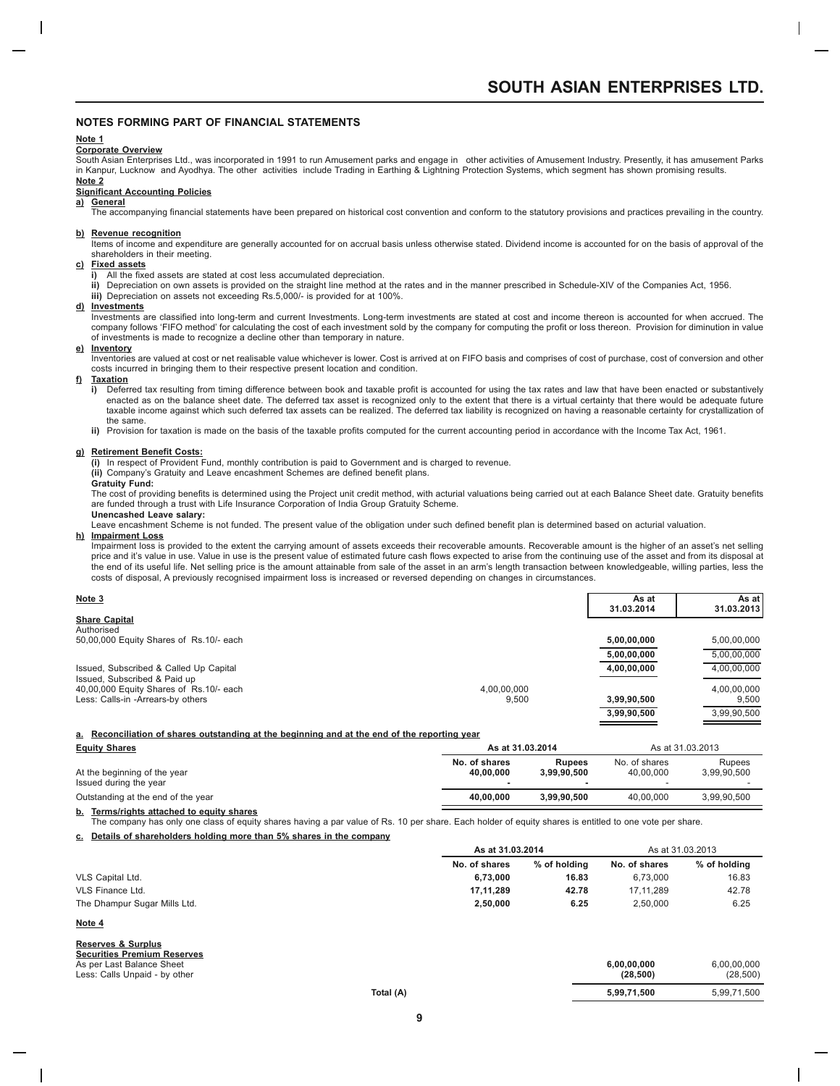# **NOTES FORMING PART OF FINANCIAL STATEMENTS**

#### **Note 1**

#### **Corporate Overview**

South Asian Enterprises Ltd., was incorporated in 1991 to run Amusement parks and engage in other activities of Amusement Industry. Presently, it has amusement Parks in Kanpur, Lucknow and Ayodhya. The other activities include Trading in Earthing & Lightning Protection Systems, which segment has shown promising results. **Note 2**

#### **Significant Accounting Policies**

#### **a) General**

The accompanying financial statements have been prepared on historical cost convention and conform to the statutory provisions and practices prevailing in the country.

# **b) Revenue recognition**

Items of income and expenditure are generally accounted for on accrual basis unless otherwise stated. Dividend income is accounted for on the basis of approval of the shareholders in their meeting.

#### **c) Fixed assets**

- **i)** All the fixed assets are stated at cost less accumulated depreciation.<br>**ii)** Depreciation on own assets is provided on the straight line method at
- Depreciation on own assets is provided on the straight line method at the rates and in the manner prescribed in Schedule-XIV of the Companies Act, 1956.

**iii)** Depreciation on assets not exceeding Rs.5,000/- is provided for at 100%.

#### **d) Investments**

Investments are classified into long-term and current Investments. Long-term investments are stated at cost and income thereon is accounted for when accrued. The company follows 'FIFO method' for calculating the cost of each investment sold by the company for computing the profit or loss thereon. Provision for diminution in value of investments is made to recognize a decline other than temporary in nature.

#### **e) Inventory**

Inventories are valued at cost or net realisable value whichever is lower. Cost is arrived at on FIFO basis and comprises of cost of purchase, cost of conversion and other costs incurred in bringing them to their respective present location and condition.

#### **f) Taxation**

**i)** Deferred tax resulting from timing difference between book and taxable profit is accounted for using the tax rates and law that have been enacted or substantively enacted as on the balance sheet date. The deferred tax asset is recognized only to the extent that there is a virtual certainty that there would be adequate future<br>taxable income against which such deferred tax assets can the same.

**ii)** Provision for taxation is made on the basis of the taxable profits computed for the current accounting period in accordance with the Income Tax Act, 1961.

#### **g) Retirement Benefit Costs:**

**(i)** In respect of Provident Fund, monthly contribution is paid to Government and is charged to revenue.

**(ii)** Company's Gratuity and Leave encashment Schemes are defined benefit plans. **Gratuity Fund:**

The cost of providing benefits is determined using the Project unit credit method, with acturial valuations being carried out at each Balance Sheet date. Gratuity benefits are funded through a trust with Life Insurance Corporation of India Group Gratuity Scheme.

#### **Unencashed Leave salary:**

Leave encashment Scheme is not funded. The present value of the obligation under such defined benefit plan is determined based on acturial valuation.

**h) Impairment Loss**

Impairment loss is provided to the extent the carrying amount of assets exceeds their recoverable amounts. Recoverable amount is the higher of an asset's net selling price and it's value in use. Value in use is the present value of estimated future cash flows expected to arise from the continuing use of the asset and from its disposal at the end of its useful life. Net selling price is the amount attainable from sale of the asset in an arm's length transaction between knowledgeable, willing parties, less the costs of disposal, A previously recognised impairment loss is increased or reversed depending on changes in circumstances.

| Note 3                                  |             | As at       | As at       |
|-----------------------------------------|-------------|-------------|-------------|
|                                         |             | 31.03.2014  | 31.03.2013  |
| <b>Share Capital</b><br>Authorised      |             |             |             |
| 50,00,000 Equity Shares of Rs.10/- each |             | 5,00,00,000 | 5.00.00.000 |
|                                         |             | 5,00,00,000 | 5.00.00.000 |
| Issued, Subscribed & Called Up Capital  |             | 4,00,00,000 | 4.00.00.000 |
| Issued, Subscribed & Paid up            |             |             |             |
| 40,00,000 Equity Shares of Rs.10/- each | 4.00.00.000 |             | 4.00.00.000 |
| Less: Calls-in -Arrears-by others       | 9.500       | 3.99.90.500 | 9.500       |
|                                         |             | 3,99,90,500 | 3.99.90.500 |

**a. Reconciliation of shares outstanding at the beginning and at the end of the reporting year**

| <b>Equity Shares</b>                                   | As at 31.03.2014           |                              | As at 31.03.2013                                       |                       |  |
|--------------------------------------------------------|----------------------------|------------------------------|--------------------------------------------------------|-----------------------|--|
| At the beginning of the year<br>Issued during the year | No. of shares<br>40.00.000 | <b>Rupees</b><br>3.99.90.500 | No. of shares<br>40.00.000<br>$\overline{\phantom{0}}$ | Rupees<br>3.99.90.500 |  |
| Outstanding at the end of the year                     | 40.00.000                  | 3.99.90.500                  | 40.00.000                                              | 3.99.90.500           |  |

**b. Terms/rights attached to equity shares**

The company has only one class of equity shares having a par value of Rs. 10 per share. Each holder of equity shares is entitled to one vote per share.

#### **c. Details of shareholders holding more than 5% shares in the company**

|                              | As at 31.03.2014 |              | As at 31.03.2013 |              |
|------------------------------|------------------|--------------|------------------|--------------|
|                              | No. of shares    | % of holding | No. of shares    | % of holding |
| VLS Capital Ltd.             | 6,73,000         | 16.83        | 6.73.000         | 16.83        |
| VLS Finance Ltd.             | 17.11.289        | 42.78        | 17.11.289        | 42.78        |
| The Dhampur Sugar Mills Ltd. | 2,50,000         | 6.25         | 2.50.000         | 6.25         |
| Note 4                       |                  |              |                  |              |

# **Reserves & Surplus**

### **Securities Premium Reserves**

As per Last Balance Sheet **6,00,00,000** 6,00,00,000 Less: Calls Unpaid - by other **(28,500)** (28,500)

| Total (A) | 5,99,71,500 | 5,99,71,500 |
|-----------|-------------|-------------|
|           |             |             |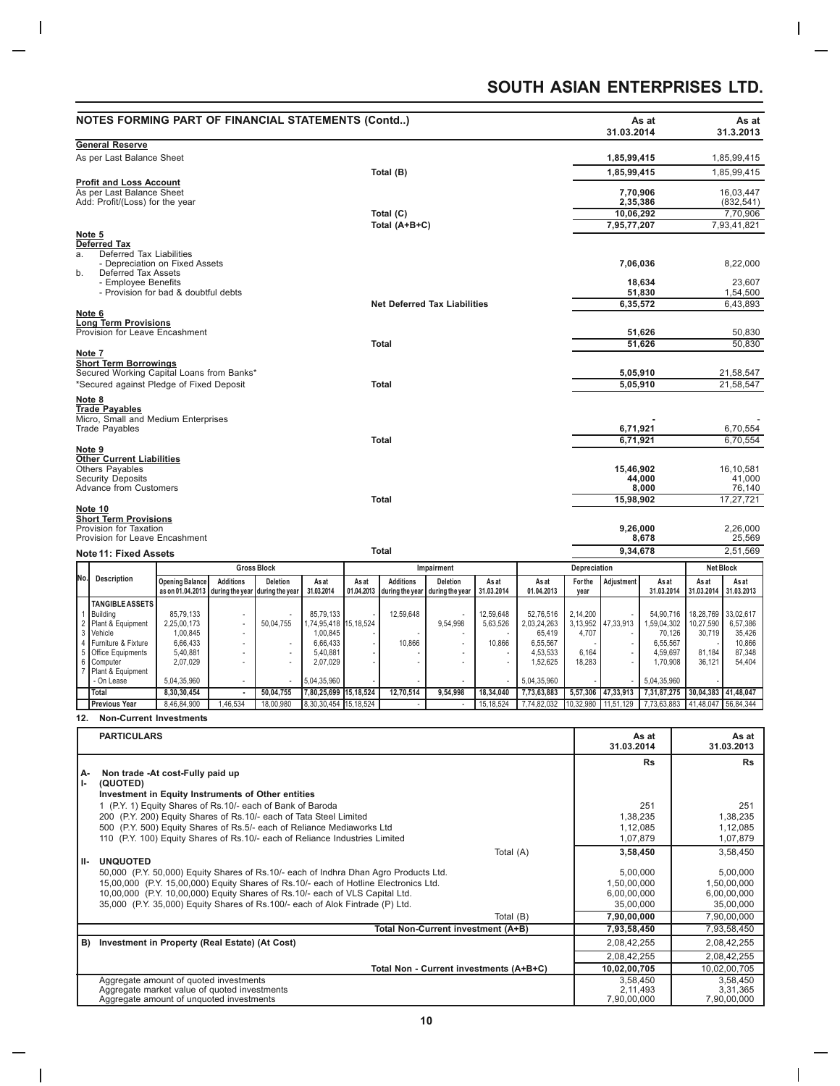$\overline{\phantom{a}}$ 

 $\overline{\phantom{a}}$ 

|                                  | <b>NOTES FORMING PART OF FINANCIAL STATEMENTS (Contd)</b>                                                                                                                    |                                            |                      |                                                    |                                    |                     |                                     |                                         |                       |                            |                        | 31.03.2014                          | As at                      |                        | As at<br>31.3.2013         |
|----------------------------------|------------------------------------------------------------------------------------------------------------------------------------------------------------------------------|--------------------------------------------|----------------------|----------------------------------------------------|------------------------------------|---------------------|-------------------------------------|-----------------------------------------|-----------------------|----------------------------|------------------------|-------------------------------------|----------------------------|------------------------|----------------------------|
|                                  | <b>General Reserve</b>                                                                                                                                                       |                                            |                      |                                                    |                                    |                     |                                     |                                         |                       |                            |                        |                                     |                            |                        |                            |
|                                  | As per Last Balance Sheet                                                                                                                                                    |                                            |                      |                                                    |                                    |                     | Total (B)                           |                                         |                       |                            |                        | 1,85,99,415<br>1,85,99,415          |                            |                        | 1,85,99,415<br>1,85,99,415 |
|                                  | <b>Profit and Loss Account</b>                                                                                                                                               |                                            |                      |                                                    |                                    |                     |                                     |                                         |                       |                            |                        |                                     |                            |                        |                            |
|                                  | As per Last Balance Sheet<br>Add: Profit/(Loss) for the year                                                                                                                 |                                            |                      |                                                    |                                    |                     |                                     |                                         |                       |                            |                        | 7,70,906<br>2,35,386                |                            |                        | 16,03,447<br>(832, 541)    |
|                                  |                                                                                                                                                                              |                                            |                      |                                                    |                                    |                     | Total (C)<br>Total (A+B+C)          |                                         |                       |                            |                        | 10,06,292<br>7,95,77,207            |                            |                        | 7,70,906<br>7,93,41,821    |
|                                  | <u>Note 5</u>                                                                                                                                                                |                                            |                      |                                                    |                                    |                     |                                     |                                         |                       |                            |                        |                                     |                            |                        |                            |
| a.                               | Deferred Tax<br>Deferred Tax Liabilities                                                                                                                                     |                                            |                      |                                                    |                                    |                     |                                     |                                         |                       |                            |                        |                                     |                            |                        |                            |
| b.                               | - Depreciation on Fixed Assets<br>Deferred Tax Assets                                                                                                                        |                                            |                      |                                                    |                                    |                     |                                     |                                         |                       |                            |                        | 7,06,036                            |                            |                        | 8,22,000                   |
|                                  | - Employee Benefits<br>- Provision for bad & doubtful debts                                                                                                                  |                                            |                      |                                                    |                                    |                     |                                     |                                         |                       |                            |                        |                                     | 18,634<br>51,830           |                        | 23,607<br>1,54,500         |
|                                  |                                                                                                                                                                              |                                            |                      |                                                    |                                    |                     |                                     | <b>Net Deferred Tax Liabilities</b>     |                       |                            |                        | 6,35,572                            |                            |                        | 6,43,893                   |
|                                  | <u>Note 6</u><br><b>Long Term Provisions</b>                                                                                                                                 |                                            |                      |                                                    |                                    |                     |                                     |                                         |                       |                            |                        |                                     |                            |                        |                            |
|                                  | Provision for Leave Encashment                                                                                                                                               |                                            |                      |                                                    |                                    |                     | <b>Total</b>                        |                                         |                       |                            |                        |                                     | 51,626<br>51,626           |                        | 50,830<br>50,830           |
|                                  | <u>Note 7</u><br><b>Short Term Borrowings</b>                                                                                                                                |                                            |                      |                                                    |                                    |                     |                                     |                                         |                       |                            |                        |                                     |                            |                        |                            |
|                                  | Secured Working Capital Loans from Banks*                                                                                                                                    |                                            |                      |                                                    |                                    |                     |                                     |                                         |                       |                            |                        | 5,05,910                            |                            |                        | 21,58,547                  |
|                                  | *Secured against Pledge of Fixed Deposit                                                                                                                                     |                                            |                      |                                                    |                                    |                     | Total                               |                                         |                       |                            |                        | 5,05,910                            |                            |                        | 21,58,547                  |
|                                  | <u>Note 8</u><br><b>Trade Payables</b>                                                                                                                                       |                                            |                      |                                                    |                                    |                     |                                     |                                         |                       |                            |                        |                                     |                            |                        |                            |
|                                  | Micro, Small and Medium Enterprises<br><b>Trade Payables</b>                                                                                                                 |                                            |                      |                                                    |                                    |                     |                                     |                                         |                       |                            |                        | 6,71,921                            |                            |                        | 6,70,554                   |
|                                  | <u>Note 9</u>                                                                                                                                                                |                                            |                      |                                                    |                                    |                     | Total                               |                                         |                       |                            |                        | 6,71,921                            |                            |                        | 6,70,554                   |
|                                  | <b>Other Current Liabilities</b>                                                                                                                                             |                                            |                      |                                                    |                                    |                     |                                     |                                         |                       |                            |                        |                                     |                            |                        |                            |
|                                  | Others Payables<br><b>Security Deposits</b>                                                                                                                                  |                                            |                      |                                                    |                                    |                     |                                     |                                         |                       |                            |                        | 15,46,902                           | 44,000                     |                        | 16,10,581<br>41,000        |
|                                  | Advance from Customers                                                                                                                                                       |                                            |                      |                                                    |                                    |                     | Total                               |                                         |                       |                            |                        | 15,98,902                           | 8,000                      |                        | 76,140<br>17,27,721        |
|                                  | <u>Note 10</u><br><b>Short Term Provisions</b>                                                                                                                               |                                            |                      |                                                    |                                    |                     |                                     |                                         |                       |                            |                        |                                     |                            |                        |                            |
|                                  | Provision for Taxation                                                                                                                                                       |                                            |                      |                                                    |                                    |                     |                                     |                                         |                       |                            |                        | 9,26,000                            |                            |                        | 2,26,000                   |
|                                  | Provision for Leave Encashment<br><b>Note 11: Fixed Assets</b>                                                                                                               |                                            |                      |                                                    |                                    |                     | <b>Total</b>                        |                                         |                       |                            |                        | 9,34,678                            | 8,678                      |                        | 25,569<br>2,51,569         |
|                                  |                                                                                                                                                                              |                                            |                      | <b>Gross Block</b>                                 |                                    |                     |                                     | Impairment                              |                       |                            | Depreciation           |                                     |                            |                        | <b>Net Block</b>           |
| No.                              | Description                                                                                                                                                                  | <b>Opening Balance</b><br>as on 01.04.2013 | <b>Additions</b>     | <b>Deletion</b><br>during the year during the year | As at<br>31.03.2014                | As at<br>01.04.2013 | <b>Additions</b><br>during the year | <b>Deletion</b><br>during the year      | As at<br>31.03.2014   | As at<br>01.04.2013        | <b>For the</b><br>year | Adjustment                          | As at<br>31.03.2014        | As at<br>31.03.2014    | As at<br>31.03.2013        |
|                                  | <b>TANGIBLE ASSETS</b>                                                                                                                                                       |                                            |                      |                                                    |                                    |                     |                                     |                                         |                       |                            |                        |                                     |                            |                        |                            |
| $\mathbf{1}$<br>$\overline{2}$   | Building<br>Plant & Equipment                                                                                                                                                | 85,79,133<br>2,25,00,173                   | ÷,                   | 50,04,755                                          | 85,79,133<br>1,74,95,418 15,18,524 |                     | 12,59,648                           | 9,54,998                                | 12,59,648<br>5,63,526 | 52,76,516<br>2,03,24,263   | 2,14,200<br>3,13,952   | 47,33,913                           | 54,90,716<br>1,59,04,302   | 18,28,769<br>10,27,590 | 33,02,617<br>6,57,386      |
| 3 <sup>1</sup><br>$\overline{4}$ | Vehicle<br>Furniture & Fixture                                                                                                                                               | 1,00,845<br>6,66,433                       |                      |                                                    | 1,00,845<br>6,66,433               |                     | 10,866                              |                                         | 10,866                | 65,419<br>6,55,567         | 4,707                  |                                     | 70,126<br>6,55,567         | 30,719                 | 35,426<br>10,866           |
| 5<br>6 <sup>1</sup>              | Office Equipments<br>Computer                                                                                                                                                | 5,40,881<br>2,07,029                       | ä,<br>٠              |                                                    | 5,40,881<br>2,07,029               |                     |                                     |                                         |                       | 4,53,533                   | 6,164                  |                                     | 4,59,697                   | 81,184                 | 87,348                     |
| 7 <sup>1</sup>                   | Plant & Equipment                                                                                                                                                            |                                            |                      |                                                    |                                    |                     |                                     |                                         |                       |                            |                        |                                     |                            |                        |                            |
|                                  | - On Lease                                                                                                                                                                   |                                            |                      |                                                    |                                    |                     |                                     |                                         |                       | 1,52,625                   | 18,283                 |                                     | 1,70,908                   | 36,121                 | 54,404                     |
|                                  | Total                                                                                                                                                                        | 5,04,35,960<br>8,30,30,454                 | $\ddot{\phantom{a}}$ | 50,04,755                                          | 5,04,35,960<br>7,80,25,699         | 15,18,524           | 12,70,514                           | 9,54,998                                | 18,34,040             | 5,04,35,960<br>7,73,63,883 | 5,57,306               | 47,33,913                           | 5,04,35,960<br>7,31,87,275 | 30,04,383              | 41,48,047                  |
|                                  | <b>Previous Year</b>                                                                                                                                                         | 8,46,84,900                                | 1,46,534             | 18,00,980                                          | 8,30,30,454                        | 15.18.524           |                                     |                                         | 15, 18, 524           | 7,74,82,032                | 10,32,980              | 11,51,129                           | 7,73,63,883                | 41,48,047              | 56,84,344                  |
| 12.                              | <b>Non-Current Investments</b>                                                                                                                                               |                                            |                      |                                                    |                                    |                     |                                     |                                         |                       |                            |                        |                                     |                            |                        |                            |
|                                  | <b>PARTICULARS</b>                                                                                                                                                           |                                            |                      |                                                    |                                    |                     |                                     |                                         |                       |                            |                        | 31.03.2014                          | As at                      |                        | As at<br>31.03.2013        |
|                                  |                                                                                                                                                                              |                                            |                      |                                                    |                                    |                     |                                     |                                         |                       |                            |                        |                                     | <b>Rs</b>                  |                        | <b>Rs</b>                  |
| А-<br>H-                         | Non trade -At cost-Fully paid up<br>(QUOTED)                                                                                                                                 |                                            |                      |                                                    |                                    |                     |                                     |                                         |                       |                            |                        |                                     |                            |                        |                            |
|                                  | <b>Investment in Equity Instruments of Other entities</b>                                                                                                                    |                                            |                      |                                                    |                                    |                     |                                     |                                         |                       |                            |                        |                                     |                            |                        |                            |
|                                  | 1 (P.Y. 1) Equity Shares of Rs.10/- each of Bank of Baroda<br>200 (P.Y. 200) Equity Shares of Rs.10/- each of Tata Steel Limited                                             |                                            |                      |                                                    |                                    |                     |                                     |                                         |                       |                            |                        | 1,38,235                            | 251                        |                        | 251<br>1,38,235            |
|                                  | 500 (P.Y. 500) Equity Shares of Rs.5/- each of Reliance Mediaworks Ltd                                                                                                       |                                            |                      |                                                    |                                    |                     |                                     |                                         |                       |                            |                        | 1,12,085                            |                            |                        | 1,12,085                   |
|                                  | 110 (P.Y. 100) Equity Shares of Rs.10/- each of Reliance Industries Limited                                                                                                  |                                            |                      |                                                    |                                    |                     |                                     |                                         | Total (A)             |                            |                        | 1,07,879<br>3,58,450                |                            |                        | 1,07,879<br>3,58,450       |
| H- 1                             | <b>UNQUOTED</b>                                                                                                                                                              |                                            |                      |                                                    |                                    |                     |                                     |                                         |                       |                            |                        |                                     |                            |                        |                            |
|                                  | 50,000 (P.Y. 50,000) Equity Shares of Rs.10/- each of Indhra Dhan Agro Products Ltd.<br>15,00,000 (P.Y. 15,00,000) Equity Shares of Rs.10/- each of Hotline Electronics Ltd. |                                            |                      |                                                    |                                    |                     |                                     |                                         |                       |                            |                        | 5,00,000<br>1,50,00,000             |                            |                        | 5,00,000<br>1,50,00,000    |
|                                  | 10,00,000 (P.Y. 10,00,000) Equity Shares of Rs.10/- each of VLS Capital Ltd.                                                                                                 |                                            |                      |                                                    |                                    |                     |                                     |                                         |                       |                            |                        | 6,00,00,000                         |                            |                        | 6,00,00,000                |
|                                  | 35,000 (P.Y. 35,000) Equity Shares of Rs.100/- each of Alok Fintrade (P) Ltd.                                                                                                |                                            |                      |                                                    |                                    |                     |                                     |                                         | Total (B)             |                            |                        | 35,00,000<br>7,90,00,000            |                            |                        | 35,00,000<br>7,90,00,000   |
|                                  |                                                                                                                                                                              |                                            |                      |                                                    |                                    |                     |                                     | Total Non-Current investment (A+B)      |                       |                            |                        | 7,93,58,450                         |                            |                        | 7,93,58,450                |
| B)                               | Investment in Property (Real Estate) (At Cost)                                                                                                                               |                                            |                      |                                                    |                                    |                     |                                     |                                         |                       |                            |                        | 2,08,42,255<br>2,08,42,255          |                            |                        | 2,08,42,255<br>2,08,42,255 |
|                                  |                                                                                                                                                                              |                                            |                      |                                                    |                                    |                     |                                     | Total Non - Current investments (A+B+C) |                       |                            |                        | 10,02,00,705                        |                            |                        | 10,02,00,705               |
|                                  | Aggregate amount of quoted investments<br>Aggregate market value of guoted investments<br>Aggregate amount of unquoted investments                                           |                                            |                      |                                                    |                                    |                     |                                     |                                         |                       |                            |                        | 3,58,450<br>2,11,493<br>7,90,00,000 |                            |                        | 3,58,450<br>3,31,365       |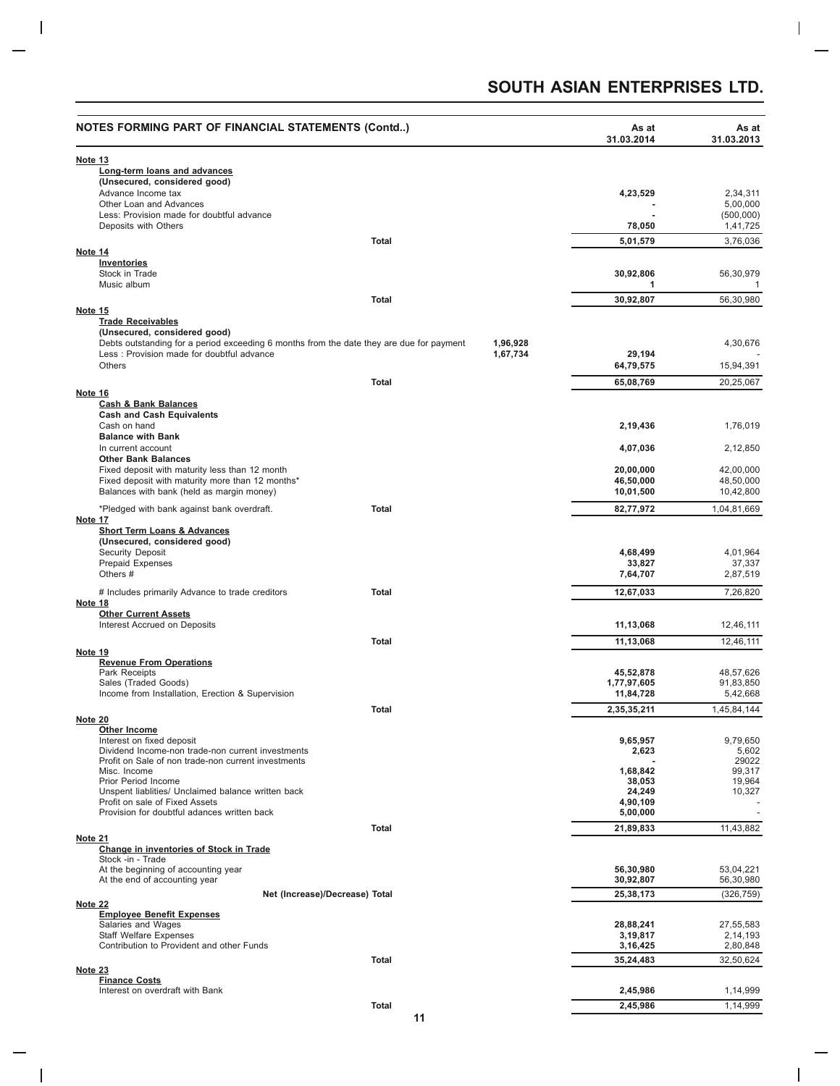$\overline{1}$ 

| <b>NOTES FORMING PART OF FINANCIAL STATEMENTS (Contd)</b>                                                                |          | As at<br>31.03.2014      | As at<br>31.03.2013   |
|--------------------------------------------------------------------------------------------------------------------------|----------|--------------------------|-----------------------|
| Note 13                                                                                                                  |          |                          |                       |
| Long-term loans and advances                                                                                             |          |                          |                       |
| (Unsecured, considered good)<br>Advance Income tax                                                                       |          | 4,23,529                 | 2,34,311              |
| Other Loan and Advances                                                                                                  |          |                          | 5,00,000              |
| Less: Provision made for doubtful advance                                                                                |          |                          | (500,000)             |
| Deposits with Others<br><b>Total</b>                                                                                     |          | 78,050                   | 1,41,725<br>3,76,036  |
| Note 14                                                                                                                  |          | 5,01,579                 |                       |
| Inventories                                                                                                              |          |                          |                       |
| Stock in Trade<br>Music album                                                                                            |          | 30,92,806<br>1           | 56,30,979             |
| <b>Total</b>                                                                                                             |          | 30,92,807                | 56,30,980             |
| Note 15                                                                                                                  |          |                          |                       |
| <b>Trade Receivables</b>                                                                                                 |          |                          |                       |
| (Unsecured, considered good)<br>Debts outstanding for a period exceeding 6 months from the date they are due for payment | 1,96,928 |                          | 4,30,676              |
| Less: Provision made for doubtful advance                                                                                | 1,67,734 | 29,194                   |                       |
| Others                                                                                                                   |          | 64,79,575                | 15,94,391             |
| <b>Total</b>                                                                                                             |          | 65,08,769                | 20.25.067             |
| <b>Note 16</b>                                                                                                           |          |                          |                       |
| <b>Cash &amp; Bank Balances</b><br><b>Cash and Cash Equivalents</b>                                                      |          |                          |                       |
| Cash on hand                                                                                                             |          | 2,19,436                 | 1,76,019              |
| <b>Balance with Bank</b>                                                                                                 |          |                          |                       |
| In current account<br><b>Other Bank Balances</b>                                                                         |          | 4,07,036                 | 2,12,850              |
| Fixed deposit with maturity less than 12 month                                                                           |          | 20,00,000                | 42,00,000             |
| Fixed deposit with maturity more than 12 months*                                                                         |          | 46,50,000                | 48,50,000             |
| Balances with bank (held as margin money)                                                                                |          | 10,01,500                | 10,42,800             |
| <b>Total</b><br>*Pledged with bank against bank overdraft.                                                               |          | 82,77,972                | 1,04,81,669           |
| Note 17<br><b>Short Term Loans &amp; Advances</b>                                                                        |          |                          |                       |
| (Unsecured, considered good)                                                                                             |          |                          |                       |
| <b>Security Deposit</b>                                                                                                  |          | 4,68,499                 | 4,01,964              |
| <b>Prepaid Expenses</b><br>Others #                                                                                      |          | 33,827<br>7,64,707       | 37,337<br>2,87,519    |
| <b>Total</b>                                                                                                             |          | 12,67,033                | 7,26,820              |
| # Includes primarily Advance to trade creditors<br>Note 18                                                               |          |                          |                       |
| <b>Other Current Assets</b>                                                                                              |          |                          |                       |
| Interest Accrued on Deposits                                                                                             |          | 11,13,068                | 12,46,111             |
| <b>Total</b>                                                                                                             |          | 11,13,068                | 12,46,111             |
| Note 19<br><b>Revenue From Operations</b>                                                                                |          |                          |                       |
| Park Receipts                                                                                                            |          | 45,52,878                | 48,57,626             |
| Sales (Traded Goods)<br>Income from Installation, Erection & Supervision                                                 |          | 1,77,97,605<br>11,84,728 | 91,83,850<br>5,42,668 |
|                                                                                                                          |          |                          |                       |
| <b>Total</b><br><b>Note 20</b>                                                                                           |          | 2,35,35,211              | 1,45,84,144           |
| <b>Other Income</b>                                                                                                      |          |                          |                       |
| Interest on fixed deposit<br>Dividend Income-non trade-non current investments                                           |          | 9,65,957<br>2,623        | 9,79,650<br>5,602     |
| Profit on Sale of non trade-non current investments                                                                      |          |                          | 29022                 |
| Misc. Income<br>Prior Period Income                                                                                      |          | 1,68,842<br>38,053       | 99,317<br>19,964      |
| Unspent liablities/ Unclaimed balance written back                                                                       |          | 24,249                   | 10,327                |
| Profit on sale of Fixed Assets                                                                                           |          | 4,90,109                 |                       |
| Provision for doubtful adances written back                                                                              |          | 5,00,000                 |                       |
| <b>Total</b><br>Note 21                                                                                                  |          | 21,89,833                | 11,43,882             |
| Change in inventories of Stock in Trade                                                                                  |          |                          |                       |
| Stock -in - Trade                                                                                                        |          | 56,30,980                | 53,04,221             |
| At the beginning of accounting year<br>At the end of accounting year                                                     |          | 30,92,807                | 56,30,980             |
| Net (Increase)/Decrease) Total                                                                                           |          | 25,38,173                | (326, 759)            |
| Note 22                                                                                                                  |          |                          |                       |
| <b>Employee Benefit Expenses</b><br>Salaries and Wages                                                                   |          | 28,88,241                | 27,55,583             |
| <b>Staff Welfare Expenses</b>                                                                                            |          | 3,19,817                 | 2, 14, 193            |
| Contribution to Provident and other Funds                                                                                |          | 3, 16, 425               | 2,80,848              |
| <b>Total</b><br>Note 23                                                                                                  |          | 35,24,483                | 32,50,624             |
| <b>Finance Costs</b>                                                                                                     |          |                          |                       |
| Interest on overdraft with Bank                                                                                          |          | 2,45,986                 | 1,14,999              |
| Total                                                                                                                    |          | 2,45,986                 | 1,14,999              |

 $\overline{\phantom{a}}$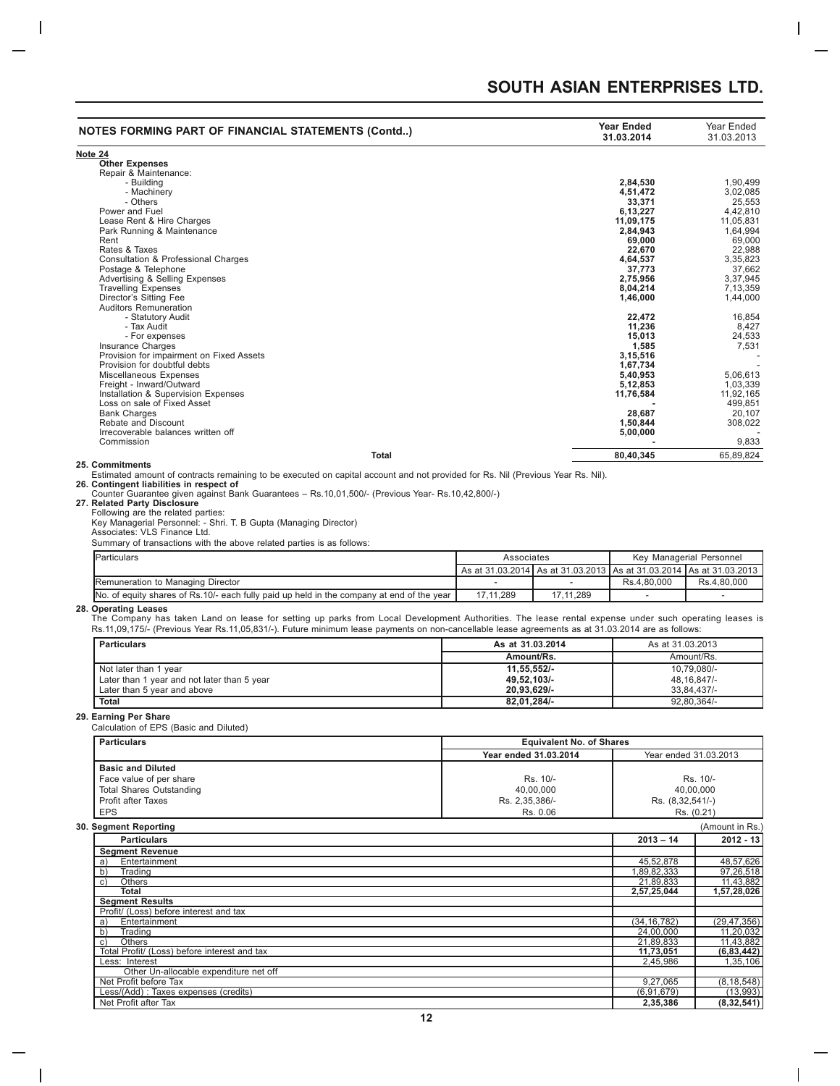$\overline{\phantom{a}}$ 

 $\overline{1}$ 

|                        | <b>NOTES FORMING PART OF FINANCIAL STATEMENTS (Contd)</b>                                                                                                                    |  |                       |                                                                           | <b>Year Ended</b><br>31.03.2014 | Year Ended<br>31.03.2013 |
|------------------------|------------------------------------------------------------------------------------------------------------------------------------------------------------------------------|--|-----------------------|---------------------------------------------------------------------------|---------------------------------|--------------------------|
|                        | Note 24                                                                                                                                                                      |  |                       |                                                                           |                                 |                          |
|                        | <b>Other Expenses</b><br>Repair & Maintenance:                                                                                                                               |  |                       |                                                                           |                                 |                          |
|                        | - Building                                                                                                                                                                   |  |                       |                                                                           | 2,84,530                        | 1,90,499                 |
|                        | - Machinery                                                                                                                                                                  |  |                       |                                                                           | 4,51,472                        | 3,02,085                 |
|                        | - Others                                                                                                                                                                     |  |                       |                                                                           | 33.371                          | 25,553                   |
|                        | Power and Fuel                                                                                                                                                               |  |                       |                                                                           | 6,13,227                        | 4.42,810                 |
|                        | Lease Rent & Hire Charges                                                                                                                                                    |  |                       |                                                                           | 11,09,175                       | 11,05,831                |
|                        | Park Running & Maintenance<br>Rent                                                                                                                                           |  |                       |                                                                           | 2,84,943<br>69,000              | 1,64,994<br>69,000       |
|                        | Rates & Taxes                                                                                                                                                                |  |                       |                                                                           | 22,670                          | 22,988                   |
|                        | Consultation & Professional Charges                                                                                                                                          |  |                       |                                                                           | 4.64,537                        | 3,35,823                 |
|                        | Postage & Telephone                                                                                                                                                          |  |                       |                                                                           | 37,773                          | 37,662                   |
|                        | Advertising & Selling Expenses                                                                                                                                               |  |                       |                                                                           | 2,75,956                        | 3,37,945                 |
|                        | <b>Travelling Expenses</b><br>Director's Sitting Fee                                                                                                                         |  |                       |                                                                           | 8,04,214                        | 7,13,359                 |
|                        | Auditors Remuneration                                                                                                                                                        |  |                       |                                                                           | 1,46,000                        | 1,44,000                 |
|                        | - Statutory Audit                                                                                                                                                            |  |                       |                                                                           | 22,472                          | 16.854                   |
|                        | - Tax Audit                                                                                                                                                                  |  |                       |                                                                           | 11,236                          | 8,427                    |
|                        | - For expenses                                                                                                                                                               |  |                       |                                                                           | 15,013                          | 24,533                   |
|                        | Insurance Charges                                                                                                                                                            |  |                       |                                                                           | 1,585                           | 7,531                    |
|                        | Provision for impairment on Fixed Assets<br>Provision for doubtful debts                                                                                                     |  |                       |                                                                           | 3,15,516<br>1,67,734            |                          |
|                        | Miscellaneous Expenses                                                                                                                                                       |  |                       |                                                                           | 5,40,953                        | 5,06,613                 |
|                        | Freight - Inward/Outward                                                                                                                                                     |  |                       |                                                                           | 5,12,853                        | 1,03,339                 |
|                        | Installation & Supervision Expenses                                                                                                                                          |  |                       |                                                                           | 11,76,584                       | 11,92,165                |
|                        | Loss on sale of Fixed Asset                                                                                                                                                  |  |                       |                                                                           |                                 | 499,851                  |
|                        | <b>Bank Charges</b>                                                                                                                                                          |  |                       |                                                                           | 28,687                          | 20,107                   |
|                        | Rebate and Discount<br>Irrecoverable balances written off                                                                                                                    |  |                       |                                                                           | 1,50,844<br>5,00,000            | 308,022                  |
|                        | Commission                                                                                                                                                                   |  |                       |                                                                           |                                 | 9,833                    |
|                        | <b>Total</b>                                                                                                                                                                 |  |                       |                                                                           | 80,40,345                       | 65,89,824                |
|                        | 25. Commitments                                                                                                                                                              |  |                       |                                                                           |                                 |                          |
|                        | Estimated amount of contracts remaining to be executed on capital account and not provided for Rs. Nil (Previous Year Rs. Nil).                                              |  |                       |                                                                           |                                 |                          |
|                        | 26. Contingent liabilities in respect of                                                                                                                                     |  |                       |                                                                           |                                 |                          |
|                        | Counter Guarantee given against Bank Guarantees - Rs.10,01,500/- (Previous Year- Rs.10,42,800/-)                                                                             |  |                       |                                                                           |                                 |                          |
|                        | 27. Related Party Disclosure                                                                                                                                                 |  |                       |                                                                           |                                 |                          |
|                        | Following are the related parties:<br>Key Managerial Personnel: - Shri. T. B Gupta (Managing Director)                                                                       |  |                       |                                                                           |                                 |                          |
|                        | Associates: VLS Finance Ltd.                                                                                                                                                 |  |                       |                                                                           |                                 |                          |
|                        | Summary of transactions with the above related parties is as follows:                                                                                                        |  |                       |                                                                           |                                 |                          |
|                        | Particulars                                                                                                                                                                  |  | Associates            |                                                                           |                                 | Key Managerial Personnel |
|                        |                                                                                                                                                                              |  |                       | As at 31.03.2014   As at 31.03.2013   As at 31.03.2014   As at 31.03.2013 |                                 |                          |
|                        | Remuneration to Managing Director                                                                                                                                            |  |                       |                                                                           | Rs.4,80,000                     | Rs.4,80,000              |
|                        | No. of equity shares of Rs.10/- each fully paid up held in the company at end of the year                                                                                    |  | 17, 11, 289           | 17, 11, 289                                                               | $\overline{\phantom{a}}$        |                          |
|                        |                                                                                                                                                                              |  |                       |                                                                           |                                 |                          |
|                        | 28. Operating Leases<br>The Company has taken Land on lease for setting up parks from Local Development Authorities. The lease rental expense under such operating leases is |  |                       |                                                                           |                                 |                          |
|                        | Rs.11,09,175/- (Previous Year Rs.11,05,831/-). Future minimum lease payments on non-cancellable lease agreements as at 31.03.2014 are as follows:                            |  |                       |                                                                           |                                 |                          |
|                        | <b>Particulars</b>                                                                                                                                                           |  | As at 31.03.2014      |                                                                           | As at 31.03.2013                |                          |
|                        |                                                                                                                                                                              |  |                       |                                                                           |                                 |                          |
|                        |                                                                                                                                                                              |  | Amount/Rs.            |                                                                           |                                 | Amount/Rs.               |
|                        | Not later than 1 year                                                                                                                                                        |  | $11,55,552/-$         |                                                                           |                                 | 10.79.080/-              |
|                        | Later than 1 year and not later than 5 year                                                                                                                                  |  | 49,52,103/-           |                                                                           | 48, 16, 847/-                   |                          |
|                        | Later than 5 year and above                                                                                                                                                  |  | 20,93,629/-           |                                                                           |                                 | 33,84,437/-              |
|                        | <b>Total</b>                                                                                                                                                                 |  | 82,01,284/-           |                                                                           |                                 | 92,80,364/-              |
|                        | 29. Earning Per Share                                                                                                                                                        |  |                       |                                                                           |                                 |                          |
|                        | Calculation of EPS (Basic and Diluted)                                                                                                                                       |  |                       |                                                                           |                                 |                          |
|                        | <b>Particulars</b>                                                                                                                                                           |  |                       | <b>Equivalent No. of Shares</b>                                           |                                 |                          |
|                        |                                                                                                                                                                              |  | Year ended 31.03.2014 |                                                                           |                                 | Year ended 31.03.2013    |
|                        | <b>Basic and Diluted</b>                                                                                                                                                     |  |                       |                                                                           |                                 |                          |
|                        | Face value of per share                                                                                                                                                      |  |                       | Rs. 10/-                                                                  |                                 | Rs. 10/-                 |
|                        | <b>Total Shares Outstanding</b>                                                                                                                                              |  |                       | 40,00,000                                                                 |                                 | 40,00,000                |
|                        | Profit after Taxes                                                                                                                                                           |  | Rs. 2,35,386/-        |                                                                           | Rs. (8,32,541/-)                |                          |
|                        | <b>EPS</b>                                                                                                                                                                   |  |                       | Rs. 0.06                                                                  |                                 | Rs. (0.21)               |
|                        | 30. Segment Reporting                                                                                                                                                        |  |                       |                                                                           |                                 | (Amount in Rs.)          |
|                        |                                                                                                                                                                              |  |                       |                                                                           |                                 | $2012 - 13$              |
|                        | <b>Particulars</b><br><b>Segment Revenue</b>                                                                                                                                 |  |                       |                                                                           | $2013 - 14$                     |                          |
|                        | Entertainment                                                                                                                                                                |  |                       |                                                                           | 45,52,878                       | 48,57,626                |
|                        | Trading<br>b)                                                                                                                                                                |  |                       |                                                                           | 1,89,82,333                     | 97,26,518                |
|                        | Others<br>C)                                                                                                                                                                 |  |                       |                                                                           | 21,89,833                       | 11,43,882                |
|                        | Total                                                                                                                                                                        |  |                       |                                                                           | 2,57,25,044                     | 1,57,28,026              |
| <b>Segment Results</b> |                                                                                                                                                                              |  |                       |                                                                           |                                 |                          |
|                        | Profit/ (Loss) before interest and tax                                                                                                                                       |  |                       |                                                                           |                                 |                          |
|                        | Entertainment<br>a)                                                                                                                                                          |  |                       |                                                                           | (34, 16, 782)                   | (29, 47, 356)            |
|                        | Trading<br>b)<br>Others<br>C)                                                                                                                                                |  |                       | 24,00,000<br>21,89,833                                                    | 11,20,032<br>11,43,882          |                          |
|                        | Total Profit/ (Loss) before interest and tax                                                                                                                                 |  |                       | 11,73,051                                                                 | (6,83,442)                      |                          |
| Less: Interest         |                                                                                                                                                                              |  | 2,45,986              | 1,35,106                                                                  |                                 |                          |
|                        | Other Un-allocable expenditure net off                                                                                                                                       |  |                       |                                                                           |                                 |                          |
|                        | Net Profit before Tax                                                                                                                                                        |  |                       |                                                                           | 9,27,065                        | (8, 18, 548)             |
|                        | Less/(Add) : Taxes expenses (credits)                                                                                                                                        |  |                       |                                                                           | (6,91,679)                      | (13,993)                 |
|                        | Net Profit after Tax                                                                                                                                                         |  |                       |                                                                           | 2,35,386                        | (8, 32, 541)             |
|                        |                                                                                                                                                                              |  |                       |                                                                           |                                 |                          |

 $\overline{\phantom{a}}$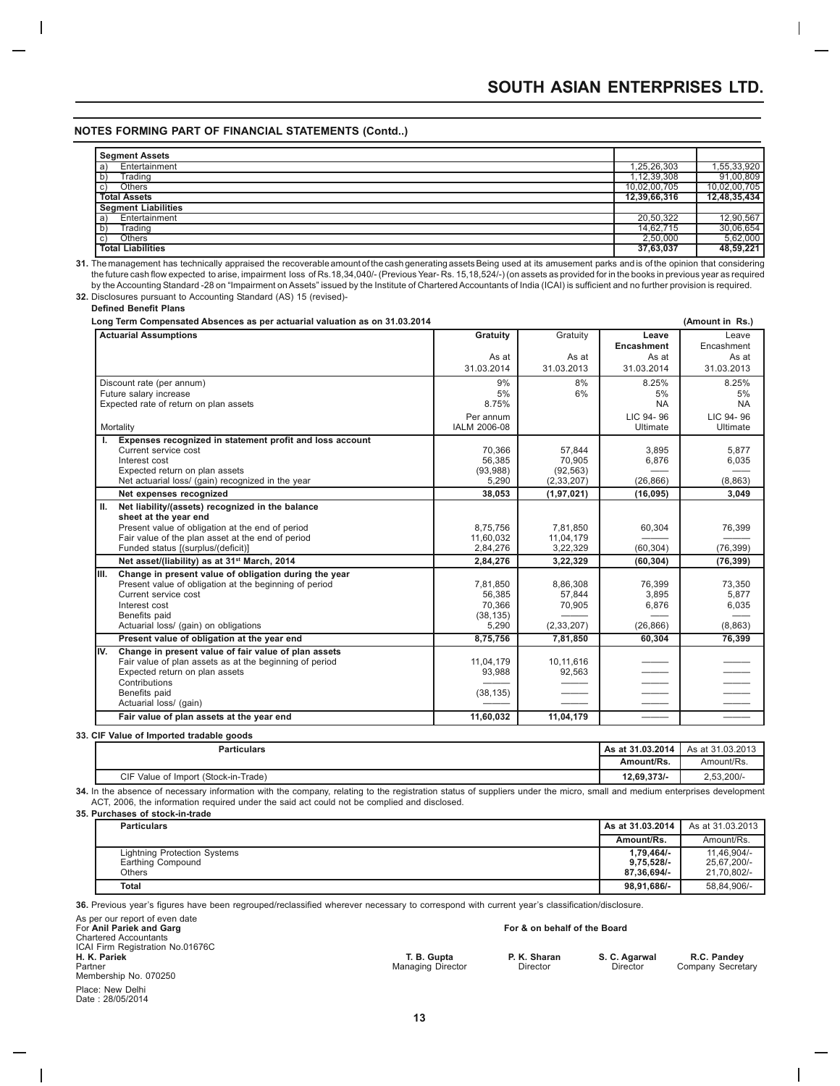# **NOTES FORMING PART OF FINANCIAL STATEMENTS (Contd..)**

| <b>Segment Assets</b>        |              |              |
|------------------------------|--------------|--------------|
| a)<br>Entertainment          | 1,25,26,303  | 1,55,33,920  |
| $\vert b)$<br>Trading        | 1,12,39,308  | 91,00,809    |
| l c)<br><b>Others</b>        | 10,02,00,705 | 10,02,00,705 |
| <b>Total Assets</b>          | 12,39,66,316 | 12,48,35,434 |
| <b>Segment Liabilities</b>   |              |              |
| $ a\rangle$<br>Entertainment | 20,50,322    | 12,90,567    |
| b)<br>Trading                | 14,62,715    | 30,06,654    |
| <b>Others</b><br>l c)        | 2,50,000     | 5,62,000     |
| <b>Total Liabilities</b>     | 37.63.037    | 48,59,221    |

**31.** The management has technically appraised the recoverable amount of the cash generating assets Being used at its amusement parks and is of the opinion that considering the future cash flow expected to arise, impairment loss of Rs.18,34,040/- (Previous Year- Rs. 15,18,524/-) (on assets as provided for in the books in previous year as required by the Accounting Standard -28 on "Impairment on Assets" issued by the Institute of Chartered Accountants of India (ICAI) is sufficient and no further provision is required. **32.** Disclosures pursuant to Accounting Standard (AS) 15 (revised)-

# **Defined Benefit Plans**

|      | Long Term Compensated Absences as per actuarial valuation as on 31.03.2014 |              |              |                     | (Amount in Rs.)     |
|------|----------------------------------------------------------------------------|--------------|--------------|---------------------|---------------------|
|      | <b>Actuarial Assumptions</b>                                               | Gratuity     | Gratuity     | Leave<br>Encashment | Leave<br>Encashment |
|      |                                                                            | As at        | As at        | As at               | As at               |
|      |                                                                            | 31.03.2014   | 31.03.2013   | 31.03.2014          | 31.03.2013          |
|      | Discount rate (per annum)                                                  | 9%           | 8%           | 8.25%               | 8.25%               |
|      | Future salary increase                                                     | 5%           | 6%           | 5%                  | 5%                  |
|      | Expected rate of return on plan assets                                     | 8.75%        |              | <b>NA</b>           | <b>NA</b>           |
|      |                                                                            | Per annum    |              | LIC 94-96           | LIC 94-96           |
|      | Mortality                                                                  | IALM 2006-08 |              | Ultimate            | Ultimate            |
|      | Expenses recognized in statement profit and loss account                   |              |              |                     |                     |
|      | Current service cost                                                       | 70.366       | 57.844       | 3,895               | 5,877               |
|      | Interest cost                                                              | 56,385       | 70,905       | 6,876               | 6,035               |
|      | Expected return on plan assets                                             | (93,988)     | (92, 563)    |                     |                     |
|      | Net actuarial loss/ (gain) recognized in the year                          | 5.290        | (2, 33, 207) | (26, 866)           | (8, 863)            |
|      | Net expenses recognized                                                    | 38,053       | (1, 97, 021) | (16, 095)           | 3.049               |
| Ш.   | Net liability/(assets) recognized in the balance                           |              |              |                     |                     |
|      | sheet at the year end                                                      |              |              |                     |                     |
|      | Present value of obligation at the end of period                           | 8.75.756     | 7.81.850     | 60.304              | 76,399              |
|      | Fair value of the plan asset at the end of period                          | 11,60,032    | 11,04,179    |                     |                     |
|      | Funded status [(surplus/(deficit)]                                         | 2,84,276     | 3,22,329     | (60, 304)           | (76, 399)           |
|      | Net asset/(liability) as at 31 <sup>st</sup> March, 2014                   | 2,84,276     | 3,22,329     | (60, 304)           | (76, 399)           |
| lıı. | Change in present value of obligation during the year                      |              |              |                     |                     |
|      | Present value of obligation at the beginning of period                     | 7.81.850     | 8.86.308     | 76.399              | 73.350              |
|      | Current service cost                                                       | 56,385       | 57.844       | 3,895               | 5,877               |
|      | Interest cost                                                              | 70,366       | 70,905       | 6,876               | 6,035               |
|      | Benefits paid                                                              | (38, 135)    |              |                     |                     |
|      | Actuarial loss/ (gain) on obligations                                      | 5,290        | (2, 33, 207) | (26, 866)           | (8, 863)            |
|      | Present value of obligation at the year end                                | 8,75,756     | 7,81,850     | 60,304              | 76,399              |
| liv. | Change in present value of fair value of plan assets                       |              |              |                     |                     |
|      | Fair value of plan assets as at the beginning of period                    | 11,04,179    | 10,11,616    |                     |                     |
|      | Expected return on plan assets                                             | 93,988       | 92,563       |                     |                     |
|      | Contributions                                                              |              |              |                     |                     |
|      | Benefits paid                                                              | (38, 135)    |              |                     |                     |
|      | Actuarial loss/ (gain)                                                     |              |              |                     |                     |
|      | Fair value of plan assets at the year end                                  | 11,60,032    | 11,04,179    |                     |                     |

#### **33. CIF Value of Imported tradable goods**

| <b>Particulars</b>                   | As at 31.03.2014 | As at 31.03.2013 |
|--------------------------------------|------------------|------------------|
|                                      | Amount/Rs.       | Amount/Rs.       |
| CIF Value of Import (Stock-in-Trade) | 12,69,373/-      | $2,53,200/-$     |

**34.** In the absence of necessary information with the company, relating to the registration status of suppliers under the micro, small and medium enterprises development ACT, 2006, the information required under the said act could not be complied and disclosed.

| 35. Purchases of stock-in-trade     |                  |                  |
|-------------------------------------|------------------|------------------|
| <b>Particulars</b>                  | As at 31.03.2014 | As at 31.03.2013 |
|                                     | Amount/Rs.       | Amount/Rs.       |
| <b>Lightning Protection Systems</b> | $1.79.464/-$     | 11.46.904/-      |
| Earthing Compound                   | $9.75.528/-$     | 25.67.200/-      |
| Others                              | 87.36.694/-      | 21.70.802/-      |
| <b>Total</b>                        | 98,91,686/-      | 58.84.906/-      |

**36.** Previous year's figures have been regrouped/reclassified wherever necessary to correspond with current year's classification/disclosure.

As per our report of even date For **Anil Pariek and Garg For & on behalf of the Board** Chartered Accountants ICAI Firm Registration No.01676C **H. K. Pariek T. B. Gupta P. K. Sharan S. C. Agarwal R.C. Pandey** Partner Managing Director **P. K. Sharan S. C. Agarwal R.C. Pandey**<br>Partner Director Director Director Director Director Director Company Secretary Membership No. 070250 Place: New Delhi Date : 28/05/2014

I